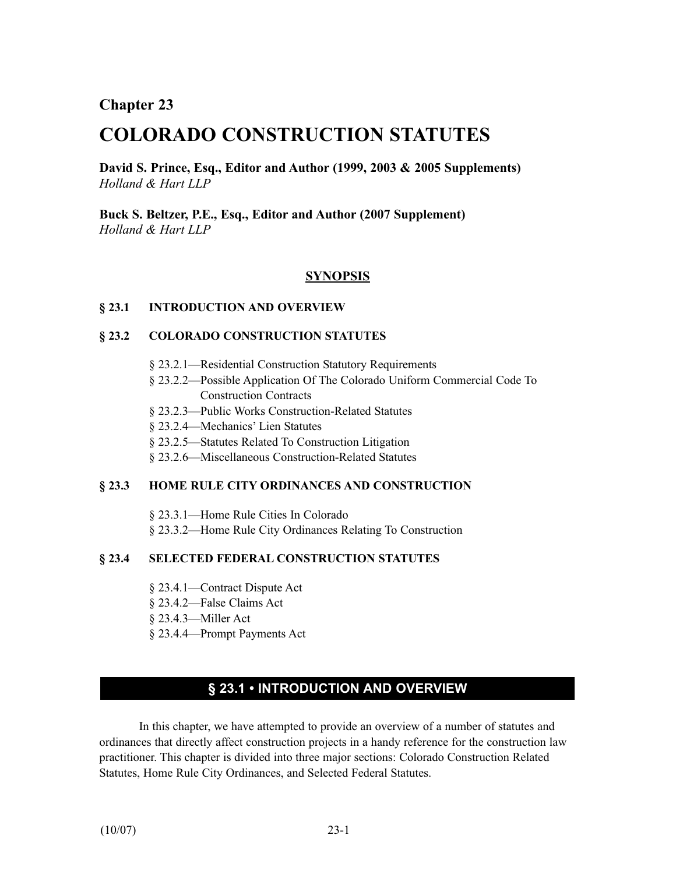**Chapter 23**

# **COLORADO CONSTRUCTION STATUTES**

**David S. Prince, Esq., Editor and Author (1999, 2003 & 2005 Supplements)** *Holland & Hart LLP*

**Buck S. Beltzer, P.E., Esq., Editor and Author (2007 Supplement)** *Holland & Hart LLP*

## **SYNOPSIS**

### **§ 23.1 INTRODUCTION AND OVERVIEW**

### **§ 23.2 COLORADO CONSTRUCTION STATUTES**

- § 23.2.1—Residential Construction Statutory Requirements
- § 23.2.2—Possible Application Of The Colorado Uniform Commercial Code To Construction Contracts
- § 23.2.3—Public Works Construction-Related Statutes
- § 23.2.4—Mechanics' Lien Statutes
- § 23.2.5—Statutes Related To Construction Litigation
- § 23.2.6—Miscellaneous Construction-Related Statutes

#### **§ 23.3 HOME RULE CITY ORDINANCES AND CONSTRUCTION**

§ 23.3.1—Home Rule Cities In Colorado

§ 23.3.2—Home Rule City Ordinances Relating To Construction

## **§ 23.4 SELECTED FEDERAL CONSTRUCTION STATUTES**

- § 23.4.1—Contract Dispute Act
- § 23.4.2—False Claims Act
- § 23.4.3—Miller Act
- § 23.4.4—Prompt Payments Act

# **§ 23.1 • INTRODUCTION AND OVERVIEW**

In this chapter, we have attempted to provide an overview of a number of statutes and ordinances that directly affect construction projects in a handy reference for the construction law practitioner. This chapter is divided into three major sections: Colorado Construction Related Statutes, Home Rule City Ordinances, and Selected Federal Statutes.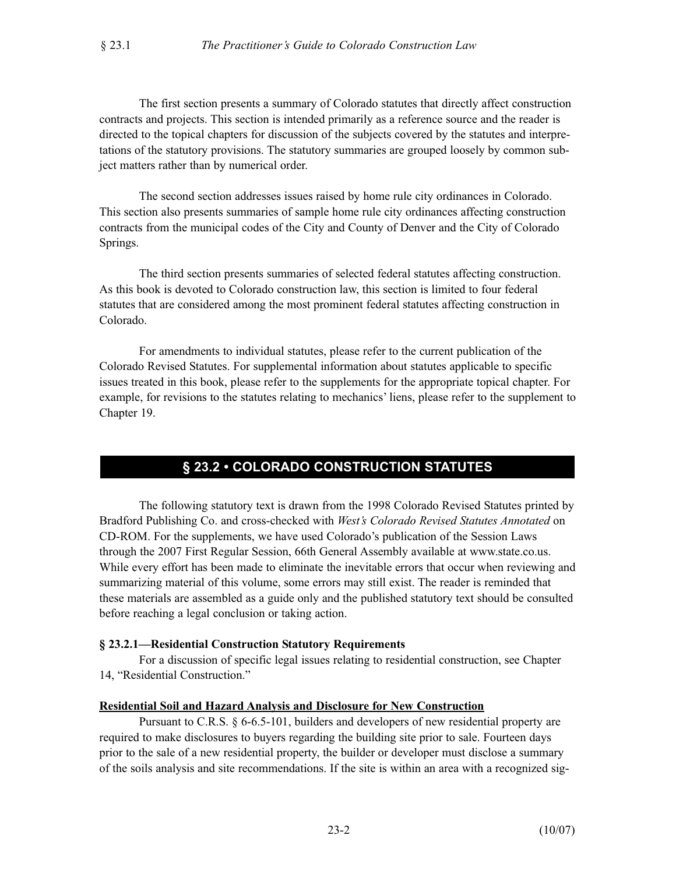The first section presents a summary of Colorado statutes that directly affect construction contracts and projects. This section is intended primarily as a reference source and the reader is directed to the topical chapters for discussion of the subjects covered by the statutes and interpretations of the statutory provisions. The statutory summaries are grouped loosely by common subject matters rather than by numerical order.

The second section addresses issues raised by home rule city ordinances in Colorado. This section also presents summaries of sample home rule city ordinances affecting construction contracts from the municipal codes of the City and County of Denver and the City of Colorado Springs.

The third section presents summaries of selected federal statutes affecting construction. As this book is devoted to Colorado construction law, this section is limited to four federal statutes that are considered among the most prominent federal statutes affecting construction in Colorado.

For amendments to individual statutes, please refer to the current publication of the Colorado Revised Statutes. For supplemental information about statutes applicable to specific issues treated in this book, please refer to the supplements for the appropriate topical chapter. For example, for revisions to the statutes relating to mechanics' liens, please refer to the supplement to Chapter 19.

# **§ 23.2 • COLORADO CONSTRUCTION STATUTES**

The following statutory text is drawn from the 1998 Colorado Revised Statutes printed by Bradford Publishing Co. and cross-checked with *West's Colorado Revised Statutes Annotated* on CD-ROM. For the supplements, we have used Colorado's publication of the Session Laws through the 2007 First Regular Session, 66th General Assembly available at www.state.co.us. While every effort has been made to eliminate the inevitable errors that occur when reviewing and summarizing material of this volume, some errors may still exist. The reader is reminded that these materials are assembled as a guide only and the published statutory text should be consulted before reaching a legal conclusion or taking action.

## **§ 23.2.1—Residential Construction Statutory Requirements**

For a discussion of specific legal issues relating to residential construction, see Chapter 14, "Residential Construction."

#### **Residential Soil and Hazard Analysis and Disclosure for New Construction**

Pursuant to C.R.S. § 6-6.5-101, builders and developers of new residential property are required to make disclosures to buyers regarding the building site prior to sale. Fourteen days prior to the sale of a new residential property, the builder or developer must disclose a summary of the soils analysis and site recommendations. If the site is within an area with a recognized sig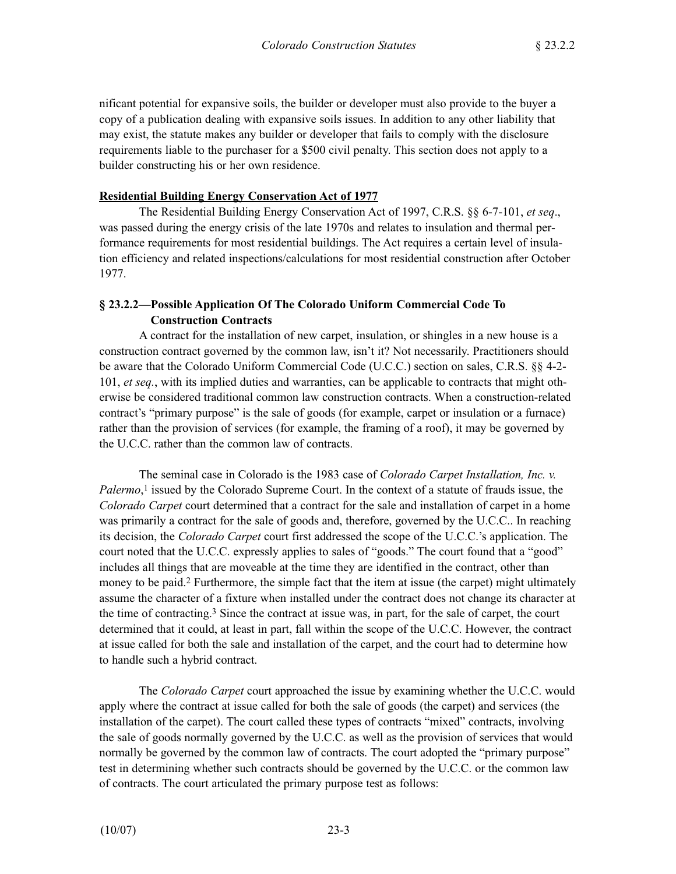nificant potential for expansive soils, the builder or developer must also provide to the buyer a copy of a publication dealing with expansive soils issues. In addition to any other liability that may exist, the statute makes any builder or developer that fails to comply with the disclosure requirements liable to the purchaser for a \$500 civil penalty. This section does not apply to a builder constructing his or her own residence.

### **Residential Building Energy Conservation Act of 1977**

The Residential Building Energy Conservation Act of 1997, C.R.S. §§ 6-7-101, *et seq*., was passed during the energy crisis of the late 1970s and relates to insulation and thermal performance requirements for most residential buildings. The Act requires a certain level of insulation efficiency and related inspections/calculations for most residential construction after October 1977.

## **§ 23.2.2—Possible Application Of The Colorado Uniform Commercial Code To Construction Contracts**

A contract for the installation of new carpet, insulation, or shingles in a new house is a construction contract governed by the common law, isn't it? Not necessarily. Practitioners should be aware that the Colorado Uniform Commercial Code (U.C.C.) section on sales, C.R.S. §§ 4-2- 101, *et seq.*, with its implied duties and warranties, can be applicable to contracts that might otherwise be considered traditional common law construction contracts. When a construction-related contract's "primary purpose" is the sale of goods (for example, carpet or insulation or a furnace) rather than the provision of services (for example, the framing of a roof), it may be governed by the U.C.C. rather than the common law of contracts.

The seminal case in Colorado is the 1983 case of *Colorado Carpet Installation, Inc. v. Palermo*,<sup>1</sup> issued by the Colorado Supreme Court. In the context of a statute of frauds issue, the *Colorado Carpet* court determined that a contract for the sale and installation of carpet in a home was primarily a contract for the sale of goods and, therefore, governed by the U.C.C.. In reaching its decision, the *Colorado Carpet* court first addressed the scope of the U.C.C.'s application. The court noted that the U.C.C. expressly applies to sales of "goods." The court found that a "good" includes all things that are moveable at the time they are identified in the contract, other than money to be paid.<sup>2</sup> Furthermore, the simple fact that the item at issue (the carpet) might ultimately assume the character of a fixture when installed under the contract does not change its character at the time of contracting.3 Since the contract at issue was, in part, for the sale of carpet, the court determined that it could, at least in part, fall within the scope of the U.C.C. However, the contract at issue called for both the sale and installation of the carpet, and the court had to determine how to handle such a hybrid contract.

The *Colorado Carpet* court approached the issue by examining whether the U.C.C. would apply where the contract at issue called for both the sale of goods (the carpet) and services (the installation of the carpet). The court called these types of contracts "mixed" contracts, involving the sale of goods normally governed by the U.C.C. as well as the provision of services that would normally be governed by the common law of contracts. The court adopted the "primary purpose" test in determining whether such contracts should be governed by the U.C.C. or the common law of contracts. The court articulated the primary purpose test as follows: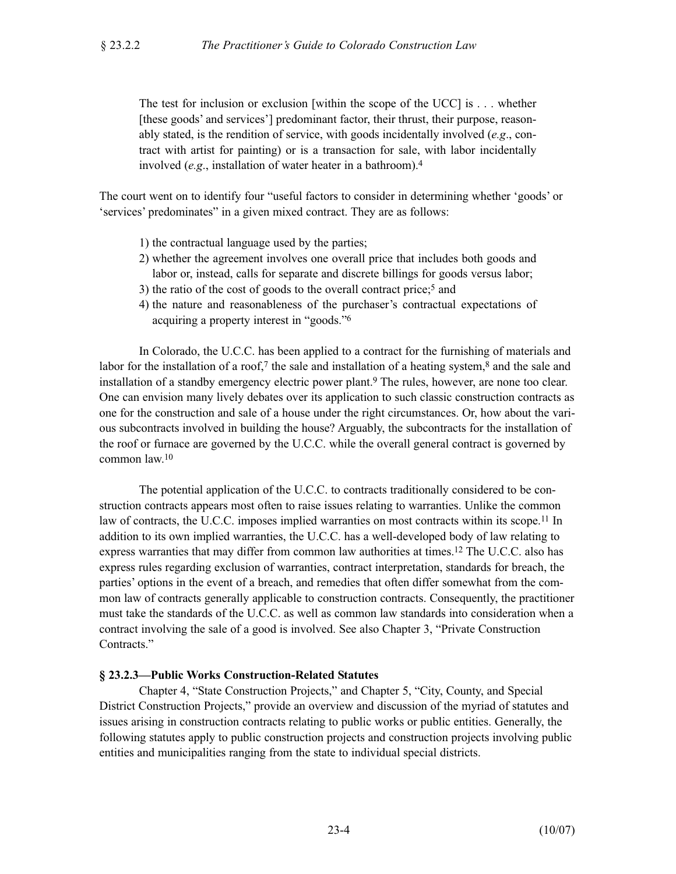The test for inclusion or exclusion [within the scope of the UCC] is . . . whether [these goods' and services'] predominant factor, their thrust, their purpose, reasonably stated, is the rendition of service, with goods incidentally involved (*e.g*., contract with artist for painting) or is a transaction for sale, with labor incidentally involved (*e.g*., installation of water heater in a bathroom).4

The court went on to identify four "useful factors to consider in determining whether 'goods' or 'services' predominates" in a given mixed contract. They are as follows:

- 1) the contractual language used by the parties;
- 2) whether the agreement involves one overall price that includes both goods and labor or, instead, calls for separate and discrete billings for goods versus labor;
- 3) the ratio of the cost of goods to the overall contract price;5 and
- 4) the nature and reasonableness of the purchaser's contractual expectations of acquiring a property interest in "goods."6

In Colorado, the U.C.C. has been applied to a contract for the furnishing of materials and labor for the installation of a roof,<sup>7</sup> the sale and installation of a heating system, $\frac{8}{3}$  and the sale and installation of a standby emergency electric power plant.9 The rules, however, are none too clear. One can envision many lively debates over its application to such classic construction contracts as one for the construction and sale of a house under the right circumstances. Or, how about the various subcontracts involved in building the house? Arguably, the subcontracts for the installation of the roof or furnace are governed by the U.C.C. while the overall general contract is governed by common law.10

The potential application of the U.C.C. to contracts traditionally considered to be construction contracts appears most often to raise issues relating to warranties. Unlike the common law of contracts, the U.C.C. imposes implied warranties on most contracts within its scope.<sup>11</sup> In addition to its own implied warranties, the U.C.C. has a well-developed body of law relating to express warranties that may differ from common law authorities at times.12 The U.C.C. also has express rules regarding exclusion of warranties, contract interpretation, standards for breach, the parties' options in the event of a breach, and remedies that often differ somewhat from the common law of contracts generally applicable to construction contracts. Consequently, the practitioner must take the standards of the U.C.C. as well as common law standards into consideration when a contract involving the sale of a good is involved. See also Chapter 3, "Private Construction Contracts."

## **§ 23.2.3—Public Works Construction-Related Statutes**

Chapter 4, "State Construction Projects," and Chapter 5, "City, County, and Special District Construction Projects," provide an overview and discussion of the myriad of statutes and issues arising in construction contracts relating to public works or public entities. Generally, the following statutes apply to public construction projects and construction projects involving public entities and municipalities ranging from the state to individual special districts.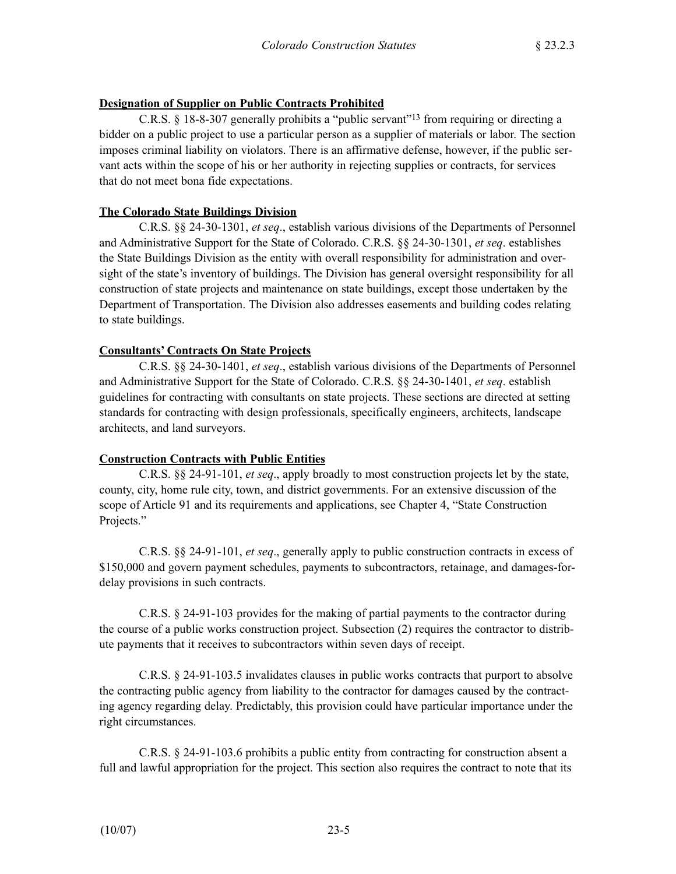### **Designation of Supplier on Public Contracts Prohibited**

C.R.S. § 18-8-307 generally prohibits a "public servant"13 from requiring or directing a bidder on a public project to use a particular person as a supplier of materials or labor. The section imposes criminal liability on violators. There is an affirmative defense, however, if the public servant acts within the scope of his or her authority in rejecting supplies or contracts, for services that do not meet bona fide expectations.

### **The Colorado State Buildings Division**

C.R.S. §§ 24-30-1301, *et seq*., establish various divisions of the Departments of Personnel and Administrative Support for the State of Colorado. C.R.S. §§ 24-30-1301, *et seq*. establishes the State Buildings Division as the entity with overall responsibility for administration and oversight of the state's inventory of buildings. The Division has general oversight responsibility for all construction of state projects and maintenance on state buildings, except those undertaken by the Department of Transportation. The Division also addresses easements and building codes relating to state buildings.

### **Consultants' Contracts On State Projects**

C.R.S. §§ 24-30-1401, *et seq*., establish various divisions of the Departments of Personnel and Administrative Support for the State of Colorado. C.R.S. §§ 24-30-1401, *et seq*. establish guidelines for contracting with consultants on state projects. These sections are directed at setting standards for contracting with design professionals, specifically engineers, architects, landscape architects, and land surveyors.

## **Construction Contracts with Public Entities**

C.R.S. §§ 24-91-101, *et seq*., apply broadly to most construction projects let by the state, county, city, home rule city, town, and district governments. For an extensive discussion of the scope of Article 91 and its requirements and applications, see Chapter 4, "State Construction Projects."

C.R.S. §§ 24-91-101, *et seq*., generally apply to public construction contracts in excess of \$150,000 and govern payment schedules, payments to subcontractors, retainage, and damages-fordelay provisions in such contracts.

C.R.S. § 24-91-103 provides for the making of partial payments to the contractor during the course of a public works construction project. Subsection (2) requires the contractor to distribute payments that it receives to subcontractors within seven days of receipt.

C.R.S. § 24-91-103.5 invalidates clauses in public works contracts that purport to absolve the contracting public agency from liability to the contractor for damages caused by the contracting agency regarding delay. Predictably, this provision could have particular importance under the right circumstances.

C.R.S. § 24-91-103.6 prohibits a public entity from contracting for construction absent a full and lawful appropriation for the project. This section also requires the contract to note that its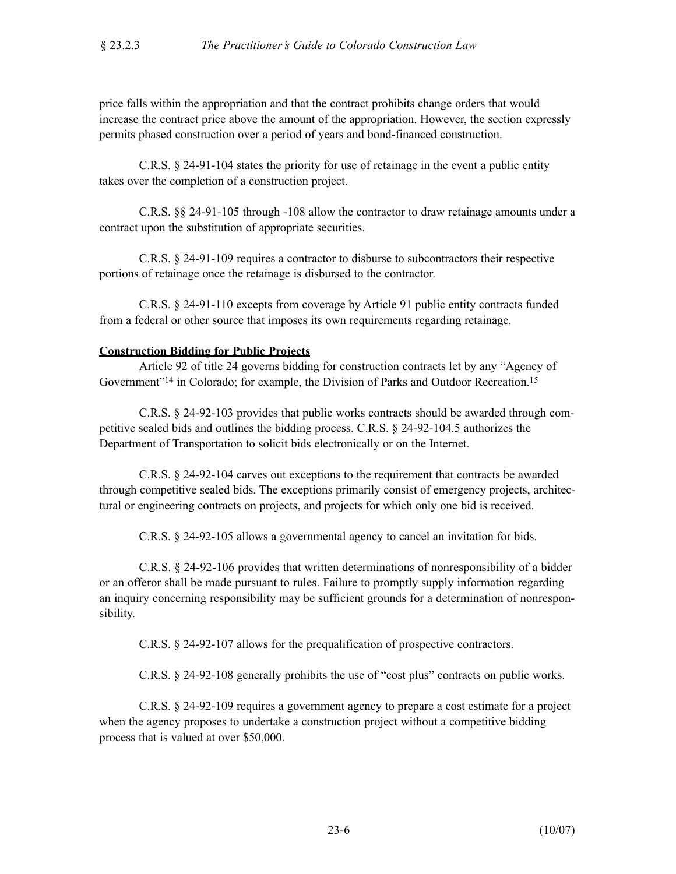price falls within the appropriation and that the contract prohibits change orders that would increase the contract price above the amount of the appropriation. However, the section expressly permits phased construction over a period of years and bond-financed construction.

C.R.S. § 24-91-104 states the priority for use of retainage in the event a public entity takes over the completion of a construction project.

C.R.S. §§ 24-91-105 through -108 allow the contractor to draw retainage amounts under a contract upon the substitution of appropriate securities.

C.R.S. § 24-91-109 requires a contractor to disburse to subcontractors their respective portions of retainage once the retainage is disbursed to the contractor.

C.R.S. § 24-91-110 excepts from coverage by Article 91 public entity contracts funded from a federal or other source that imposes its own requirements regarding retainage.

#### **Construction Bidding for Public Projects**

Article 92 of title 24 governs bidding for construction contracts let by any "Agency of Government"14 in Colorado; for example, the Division of Parks and Outdoor Recreation.15

C.R.S. § 24-92-103 provides that public works contracts should be awarded through competitive sealed bids and outlines the bidding process. C.R.S. § 24-92-104.5 authorizes the Department of Transportation to solicit bids electronically or on the Internet.

C.R.S. § 24-92-104 carves out exceptions to the requirement that contracts be awarded through competitive sealed bids. The exceptions primarily consist of emergency projects, architectural or engineering contracts on projects, and projects for which only one bid is received.

C.R.S. § 24-92-105 allows a governmental agency to cancel an invitation for bids.

C.R.S. § 24-92-106 provides that written determinations of nonresponsibility of a bidder or an offeror shall be made pursuant to rules. Failure to promptly supply information regarding an inquiry concerning responsibility may be sufficient grounds for a determination of nonresponsibility.

C.R.S. § 24-92-107 allows for the prequalification of prospective contractors.

C.R.S. § 24-92-108 generally prohibits the use of "cost plus" contracts on public works.

C.R.S. § 24-92-109 requires a government agency to prepare a cost estimate for a project when the agency proposes to undertake a construction project without a competitive bidding process that is valued at over \$50,000.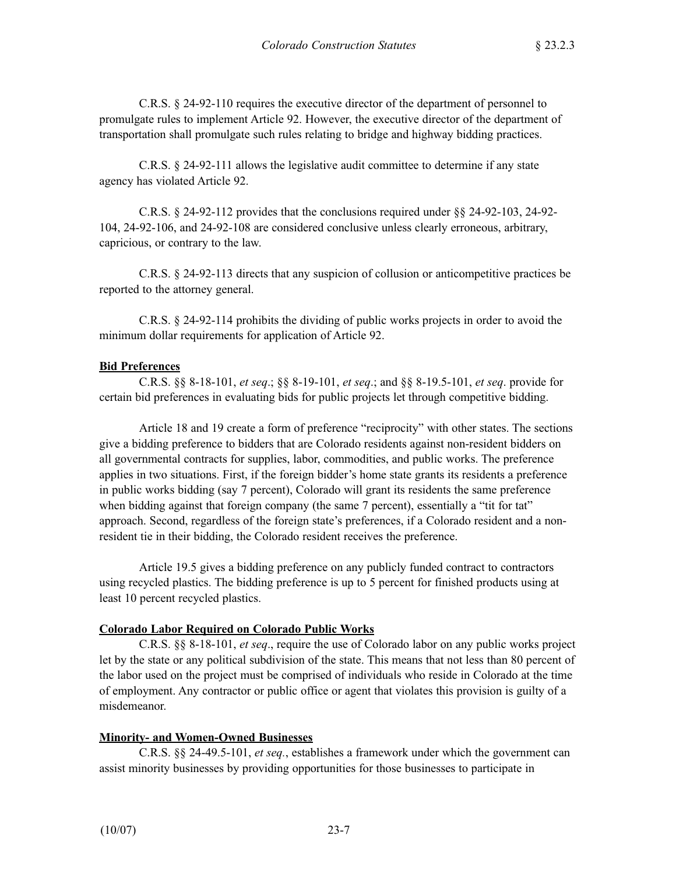C.R.S. § 24-92-110 requires the executive director of the department of personnel to promulgate rules to implement Article 92. However, the executive director of the department of transportation shall promulgate such rules relating to bridge and highway bidding practices.

C.R.S. § 24-92-111 allows the legislative audit committee to determine if any state agency has violated Article 92.

C.R.S. § 24-92-112 provides that the conclusions required under §§ 24-92-103, 24-92- 104, 24-92-106, and 24-92-108 are considered conclusive unless clearly erroneous, arbitrary, capricious, or contrary to the law.

C.R.S. § 24-92-113 directs that any suspicion of collusion or anticompetitive practices be reported to the attorney general.

C.R.S. § 24-92-114 prohibits the dividing of public works projects in order to avoid the minimum dollar requirements for application of Article 92.

### **Bid Preferences**

C.R.S. §§ 8-18-101, *et seq*.; §§ 8-19-101, *et seq*.; and §§ 8-19.5-101, *et seq*. provide for certain bid preferences in evaluating bids for public projects let through competitive bidding.

Article 18 and 19 create a form of preference "reciprocity" with other states. The sections give a bidding preference to bidders that are Colorado residents against non-resident bidders on all governmental contracts for supplies, labor, commodities, and public works. The preference applies in two situations. First, if the foreign bidder's home state grants its residents a preference in public works bidding (say 7 percent), Colorado will grant its residents the same preference when bidding against that foreign company (the same 7 percent), essentially a "tit for tat" approach. Second, regardless of the foreign state's preferences, if a Colorado resident and a nonresident tie in their bidding, the Colorado resident receives the preference.

Article 19.5 gives a bidding preference on any publicly funded contract to contractors using recycled plastics. The bidding preference is up to 5 percent for finished products using at least 10 percent recycled plastics.

## **Colorado Labor Required on Colorado Public Works**

C.R.S. §§ 8-18-101, *et seq*., require the use of Colorado labor on any public works project let by the state or any political subdivision of the state. This means that not less than 80 percent of the labor used on the project must be comprised of individuals who reside in Colorado at the time of employment. Any contractor or public office or agent that violates this provision is guilty of a misdemeanor.

## **Minority- and Women-Owned Businesses**

C.R.S. §§ 24-49.5-101, *et seq.*, establishes a framework under which the government can assist minority businesses by providing opportunities for those businesses to participate in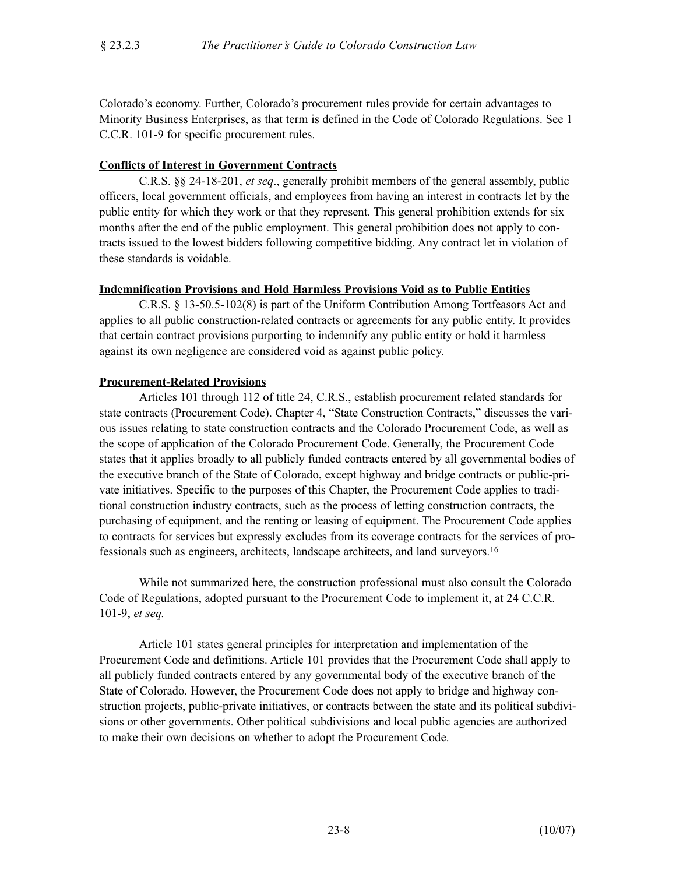Colorado's economy. Further, Colorado's procurement rules provide for certain advantages to Minority Business Enterprises, as that term is defined in the Code of Colorado Regulations. See 1 C.C.R. 101-9 for specific procurement rules.

### **Conflicts of Interest in Government Contracts**

C.R.S. §§ 24-18-201, *et seq*., generally prohibit members of the general assembly, public officers, local government officials, and employees from having an interest in contracts let by the public entity for which they work or that they represent. This general prohibition extends for six months after the end of the public employment. This general prohibition does not apply to contracts issued to the lowest bidders following competitive bidding. Any contract let in violation of these standards is voidable.

### **Indemnification Provisions and Hold Harmless Provisions Void as to Public Entities**

C.R.S. § 13-50.5-102(8) is part of the Uniform Contribution Among Tortfeasors Act and applies to all public construction-related contracts or agreements for any public entity. It provides that certain contract provisions purporting to indemnify any public entity or hold it harmless against its own negligence are considered void as against public policy.

### **Procurement-Related Provisions**

Articles 101 through 112 of title 24, C.R.S., establish procurement related standards for state contracts (Procurement Code). Chapter 4, "State Construction Contracts," discusses the various issues relating to state construction contracts and the Colorado Procurement Code, as well as the scope of application of the Colorado Procurement Code. Generally, the Procurement Code states that it applies broadly to all publicly funded contracts entered by all governmental bodies of the executive branch of the State of Colorado, except highway and bridge contracts or public-private initiatives. Specific to the purposes of this Chapter, the Procurement Code applies to traditional construction industry contracts, such as the process of letting construction contracts, the purchasing of equipment, and the renting or leasing of equipment. The Procurement Code applies to contracts for services but expressly excludes from its coverage contracts for the services of professionals such as engineers, architects, landscape architects, and land surveyors.16

While not summarized here, the construction professional must also consult the Colorado Code of Regulations, adopted pursuant to the Procurement Code to implement it, at 24 C.C.R. 101-9, *et seq.*

Article 101 states general principles for interpretation and implementation of the Procurement Code and definitions. Article 101 provides that the Procurement Code shall apply to all publicly funded contracts entered by any governmental body of the executive branch of the State of Colorado. However, the Procurement Code does not apply to bridge and highway construction projects, public-private initiatives, or contracts between the state and its political subdivisions or other governments. Other political subdivisions and local public agencies are authorized to make their own decisions on whether to adopt the Procurement Code.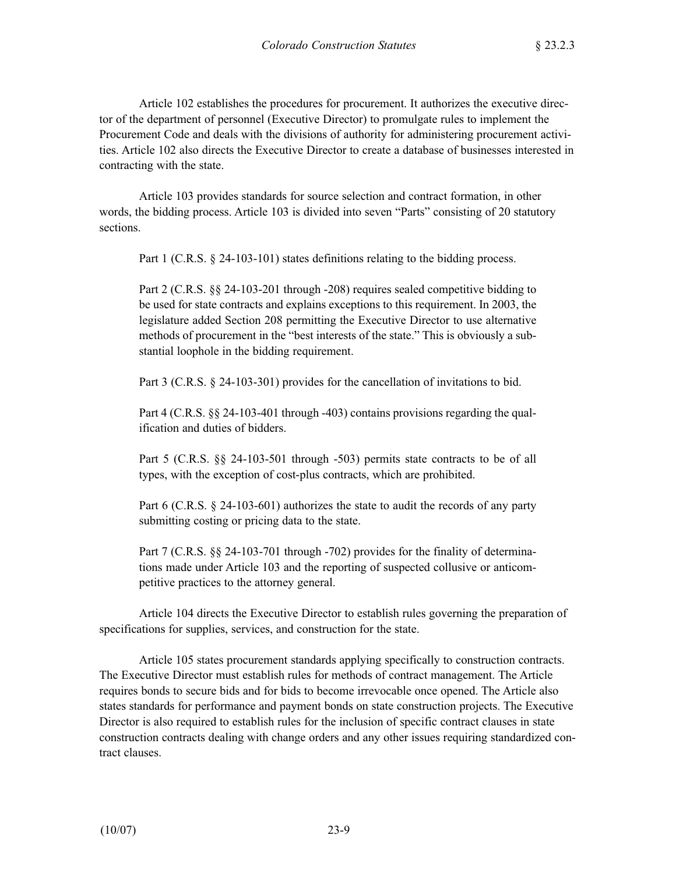Article 102 establishes the procedures for procurement. It authorizes the executive director of the department of personnel (Executive Director) to promulgate rules to implement the Procurement Code and deals with the divisions of authority for administering procurement activities. Article 102 also directs the Executive Director to create a database of businesses interested in contracting with the state.

Article 103 provides standards for source selection and contract formation, in other words, the bidding process. Article 103 is divided into seven "Parts" consisting of 20 statutory sections.

Part 1 (C.R.S. § 24-103-101) states definitions relating to the bidding process.

Part 2 (C.R.S. §§ 24-103-201 through -208) requires sealed competitive bidding to be used for state contracts and explains exceptions to this requirement. In 2003, the legislature added Section 208 permitting the Executive Director to use alternative methods of procurement in the "best interests of the state." This is obviously a substantial loophole in the bidding requirement.

Part 3 (C.R.S. § 24-103-301) provides for the cancellation of invitations to bid.

Part 4 (C.R.S. §§ 24-103-401 through -403) contains provisions regarding the qualification and duties of bidders.

Part 5 (C.R.S. §§ 24-103-501 through -503) permits state contracts to be of all types, with the exception of cost-plus contracts, which are prohibited.

Part 6 (C.R.S. § 24-103-601) authorizes the state to audit the records of any party submitting costing or pricing data to the state.

Part 7 (C.R.S. §§ 24-103-701 through -702) provides for the finality of determinations made under Article 103 and the reporting of suspected collusive or anticompetitive practices to the attorney general.

Article 104 directs the Executive Director to establish rules governing the preparation of specifications for supplies, services, and construction for the state.

Article 105 states procurement standards applying specifically to construction contracts. The Executive Director must establish rules for methods of contract management. The Article requires bonds to secure bids and for bids to become irrevocable once opened. The Article also states standards for performance and payment bonds on state construction projects. The Executive Director is also required to establish rules for the inclusion of specific contract clauses in state construction contracts dealing with change orders and any other issues requiring standardized contract clauses.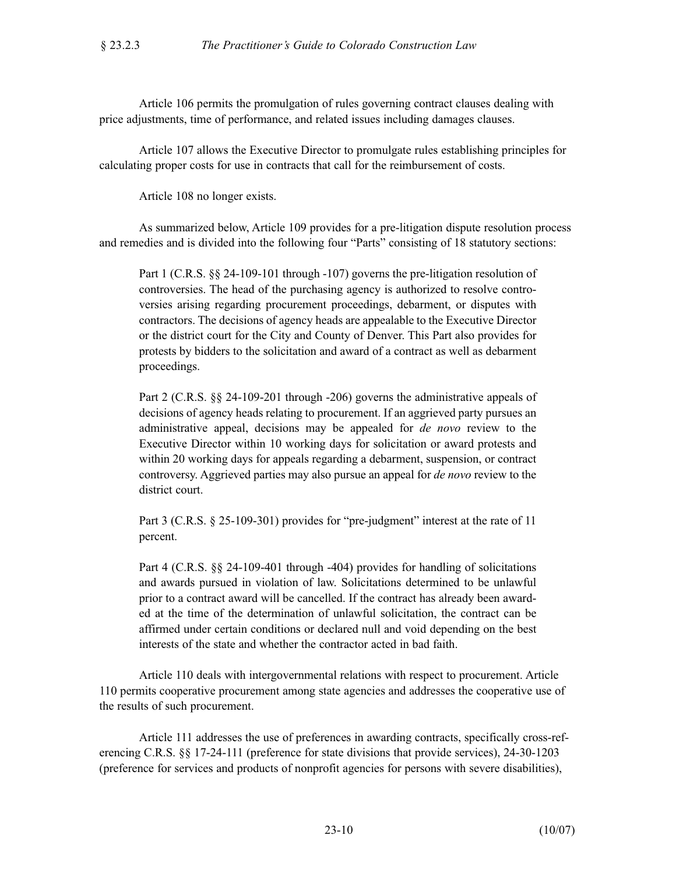Article 106 permits the promulgation of rules governing contract clauses dealing with price adjustments, time of performance, and related issues including damages clauses.

Article 107 allows the Executive Director to promulgate rules establishing principles for calculating proper costs for use in contracts that call for the reimbursement of costs.

Article 108 no longer exists.

As summarized below, Article 109 provides for a pre-litigation dispute resolution process and remedies and is divided into the following four "Parts" consisting of 18 statutory sections:

Part 1 (C.R.S. §§ 24-109-101 through -107) governs the pre-litigation resolution of controversies. The head of the purchasing agency is authorized to resolve controversies arising regarding procurement proceedings, debarment, or disputes with contractors. The decisions of agency heads are appealable to the Executive Director or the district court for the City and County of Denver. This Part also provides for protests by bidders to the solicitation and award of a contract as well as debarment proceedings.

Part 2 (C.R.S. §§ 24-109-201 through -206) governs the administrative appeals of decisions of agency heads relating to procurement. If an aggrieved party pursues an administrative appeal, decisions may be appealed for *de novo* review to the Executive Director within 10 working days for solicitation or award protests and within 20 working days for appeals regarding a debarment, suspension, or contract controversy. Aggrieved parties may also pursue an appeal for *de novo* review to the district court.

Part 3 (C.R.S. § 25-109-301) provides for "pre-judgment" interest at the rate of 11 percent.

Part 4 (C.R.S. §§ 24-109-401 through -404) provides for handling of solicitations and awards pursued in violation of law. Solicitations determined to be unlawful prior to a contract award will be cancelled. If the contract has already been awarded at the time of the determination of unlawful solicitation, the contract can be affirmed under certain conditions or declared null and void depending on the best interests of the state and whether the contractor acted in bad faith.

Article 110 deals with intergovernmental relations with respect to procurement. Article 110 permits cooperative procurement among state agencies and addresses the cooperative use of the results of such procurement.

Article 111 addresses the use of preferences in awarding contracts, specifically cross-referencing C.R.S. §§ 17-24-111 (preference for state divisions that provide services), 24-30-1203 (preference for services and products of nonprofit agencies for persons with severe disabilities),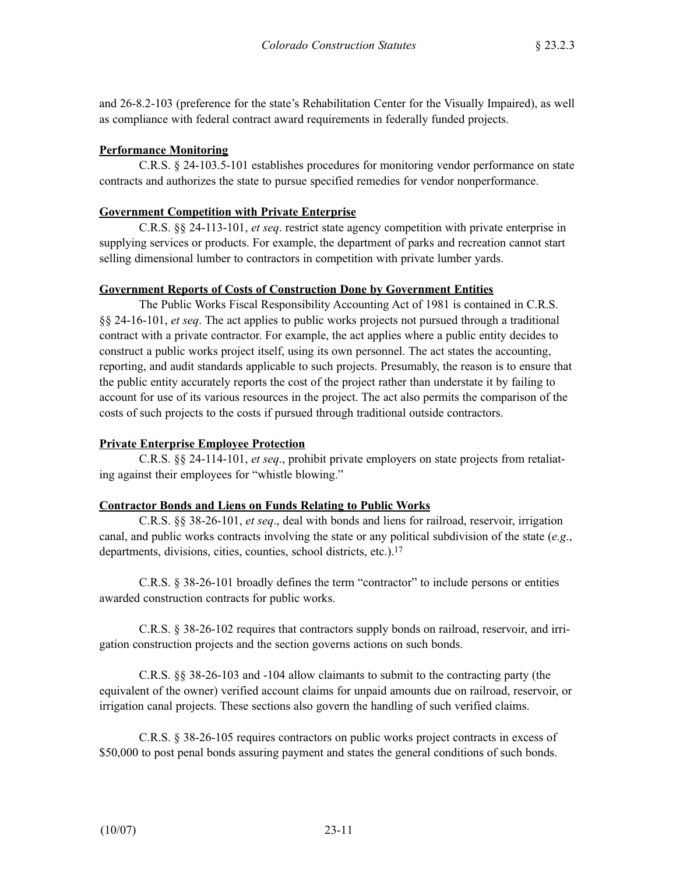and 26-8.2-103 (preference for the state's Rehabilitation Center for the Visually Impaired), as well as compliance with federal contract award requirements in federally funded projects.

## **Performance Monitoring**

C.R.S. § 24-103.5-101 establishes procedures for monitoring vendor performance on state contracts and authorizes the state to pursue specified remedies for vendor nonperformance.

## **Government Competition with Private Enterprise**

C.R.S. §§ 24-113-101, *et seq*. restrict state agency competition with private enterprise in supplying services or products. For example, the department of parks and recreation cannot start selling dimensional lumber to contractors in competition with private lumber yards.

## **Government Reports of Costs of Construction Done by Government Entities**

The Public Works Fiscal Responsibility Accounting Act of 1981 is contained in C.R.S. §§ 24-16-101, *et seq*. The act applies to public works projects not pursued through a traditional contract with a private contractor. For example, the act applies where a public entity decides to construct a public works project itself, using its own personnel. The act states the accounting, reporting, and audit standards applicable to such projects. Presumably, the reason is to ensure that the public entity accurately reports the cost of the project rather than understate it by failing to account for use of its various resources in the project. The act also permits the comparison of the costs of such projects to the costs if pursued through traditional outside contractors.

## **Private Enterprise Employee Protection**

C.R.S. §§ 24-114-101, *et seq*., prohibit private employers on state projects from retaliating against their employees for "whistle blowing."

## **Contractor Bonds and Liens on Funds Relating to Public Works**

C.R.S. §§ 38-26-101, *et seq*., deal with bonds and liens for railroad, reservoir, irrigation canal, and public works contracts involving the state or any political subdivision of the state (*e.g*., departments, divisions, cities, counties, school districts, etc.).<sup>17</sup>

C.R.S. § 38-26-101 broadly defines the term "contractor" to include persons or entities awarded construction contracts for public works.

C.R.S. § 38-26-102 requires that contractors supply bonds on railroad, reservoir, and irrigation construction projects and the section governs actions on such bonds.

C.R.S. §§ 38-26-103 and -104 allow claimants to submit to the contracting party (the equivalent of the owner) verified account claims for unpaid amounts due on railroad, reservoir, or irrigation canal projects. These sections also govern the handling of such verified claims.

C.R.S. § 38-26-105 requires contractors on public works project contracts in excess of \$50,000 to post penal bonds assuring payment and states the general conditions of such bonds.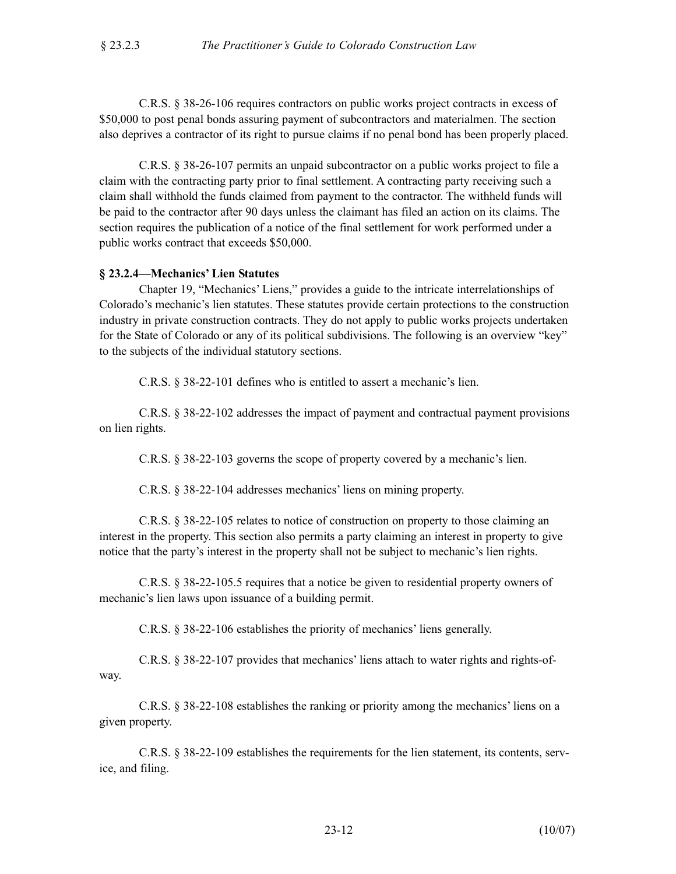C.R.S. § 38-26-106 requires contractors on public works project contracts in excess of \$50,000 to post penal bonds assuring payment of subcontractors and materialmen. The section also deprives a contractor of its right to pursue claims if no penal bond has been properly placed.

C.R.S. § 38-26-107 permits an unpaid subcontractor on a public works project to file a claim with the contracting party prior to final settlement. A contracting party receiving such a claim shall withhold the funds claimed from payment to the contractor. The withheld funds will be paid to the contractor after 90 days unless the claimant has filed an action on its claims. The section requires the publication of a notice of the final settlement for work performed under a public works contract that exceeds \$50,000.

#### **§ 23.2.4—Mechanics' Lien Statutes**

Chapter 19, "Mechanics' Liens," provides a guide to the intricate interrelationships of Colorado's mechanic's lien statutes. These statutes provide certain protections to the construction industry in private construction contracts. They do not apply to public works projects undertaken for the State of Colorado or any of its political subdivisions. The following is an overview "key" to the subjects of the individual statutory sections.

C.R.S. § 38-22-101 defines who is entitled to assert a mechanic's lien.

C.R.S. § 38-22-102 addresses the impact of payment and contractual payment provisions on lien rights.

C.R.S. § 38-22-103 governs the scope of property covered by a mechanic's lien.

C.R.S. § 38-22-104 addresses mechanics' liens on mining property.

C.R.S. § 38-22-105 relates to notice of construction on property to those claiming an interest in the property. This section also permits a party claiming an interest in property to give notice that the party's interest in the property shall not be subject to mechanic's lien rights.

C.R.S. § 38-22-105.5 requires that a notice be given to residential property owners of mechanic's lien laws upon issuance of a building permit.

C.R.S. § 38-22-106 establishes the priority of mechanics' liens generally.

C.R.S. § 38-22-107 provides that mechanics' liens attach to water rights and rights-ofway.

C.R.S. § 38-22-108 establishes the ranking or priority among the mechanics' liens on a given property.

C.R.S. § 38-22-109 establishes the requirements for the lien statement, its contents, service, and filing.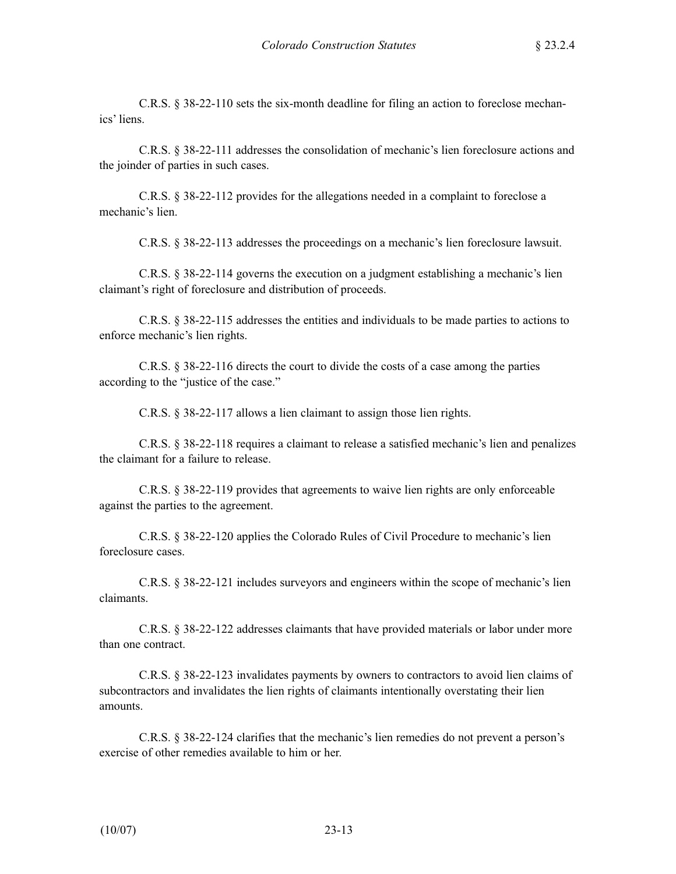C.R.S. § 38-22-110 sets the six-month deadline for filing an action to foreclose mechanics' liens.

C.R.S. § 38-22-111 addresses the consolidation of mechanic's lien foreclosure actions and the joinder of parties in such cases.

C.R.S. § 38-22-112 provides for the allegations needed in a complaint to foreclose a mechanic's lien.

C.R.S. § 38-22-113 addresses the proceedings on a mechanic's lien foreclosure lawsuit.

C.R.S. § 38-22-114 governs the execution on a judgment establishing a mechanic's lien claimant's right of foreclosure and distribution of proceeds.

C.R.S. § 38-22-115 addresses the entities and individuals to be made parties to actions to enforce mechanic's lien rights.

C.R.S. § 38-22-116 directs the court to divide the costs of a case among the parties according to the "justice of the case."

C.R.S. § 38-22-117 allows a lien claimant to assign those lien rights.

C.R.S. § 38-22-118 requires a claimant to release a satisfied mechanic's lien and penalizes the claimant for a failure to release.

C.R.S. § 38-22-119 provides that agreements to waive lien rights are only enforceable against the parties to the agreement.

C.R.S. § 38-22-120 applies the Colorado Rules of Civil Procedure to mechanic's lien foreclosure cases.

C.R.S. § 38-22-121 includes surveyors and engineers within the scope of mechanic's lien claimants.

C.R.S. § 38-22-122 addresses claimants that have provided materials or labor under more than one contract.

C.R.S. § 38-22-123 invalidates payments by owners to contractors to avoid lien claims of subcontractors and invalidates the lien rights of claimants intentionally overstating their lien amounts.

C.R.S. § 38-22-124 clarifies that the mechanic's lien remedies do not prevent a person's exercise of other remedies available to him or her.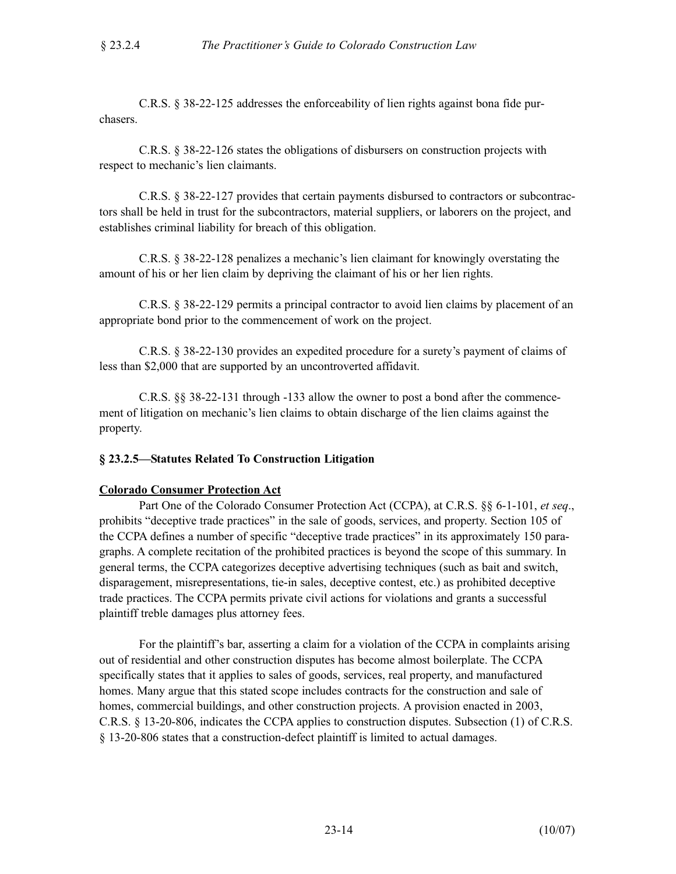C.R.S. § 38-22-125 addresses the enforceability of lien rights against bona fide purchasers.

C.R.S. § 38-22-126 states the obligations of disbursers on construction projects with respect to mechanic's lien claimants.

C.R.S. § 38-22-127 provides that certain payments disbursed to contractors or subcontractors shall be held in trust for the subcontractors, material suppliers, or laborers on the project, and establishes criminal liability for breach of this obligation.

C.R.S. § 38-22-128 penalizes a mechanic's lien claimant for knowingly overstating the amount of his or her lien claim by depriving the claimant of his or her lien rights.

C.R.S. § 38-22-129 permits a principal contractor to avoid lien claims by placement of an appropriate bond prior to the commencement of work on the project.

C.R.S. § 38-22-130 provides an expedited procedure for a surety's payment of claims of less than \$2,000 that are supported by an uncontroverted affidavit.

C.R.S. §§ 38-22-131 through -133 allow the owner to post a bond after the commencement of litigation on mechanic's lien claims to obtain discharge of the lien claims against the property.

## **§ 23.2.5—Statutes Related To Construction Litigation**

#### **Colorado Consumer Protection Act**

Part One of the Colorado Consumer Protection Act (CCPA), at C.R.S. §§ 6-1-101, *et seq*., prohibits "deceptive trade practices" in the sale of goods, services, and property. Section 105 of the CCPA defines a number of specific "deceptive trade practices" in its approximately 150 paragraphs. A complete recitation of the prohibited practices is beyond the scope of this summary. In general terms, the CCPA categorizes deceptive advertising techniques (such as bait and switch, disparagement, misrepresentations, tie-in sales, deceptive contest, etc.) as prohibited deceptive trade practices. The CCPA permits private civil actions for violations and grants a successful plaintiff treble damages plus attorney fees.

For the plaintiff's bar, asserting a claim for a violation of the CCPA in complaints arising out of residential and other construction disputes has become almost boilerplate. The CCPA specifically states that it applies to sales of goods, services, real property, and manufactured homes. Many argue that this stated scope includes contracts for the construction and sale of homes, commercial buildings, and other construction projects. A provision enacted in 2003, C.R.S. § 13-20-806, indicates the CCPA applies to construction disputes. Subsection (1) of C.R.S. § 13-20-806 states that a construction-defect plaintiff is limited to actual damages.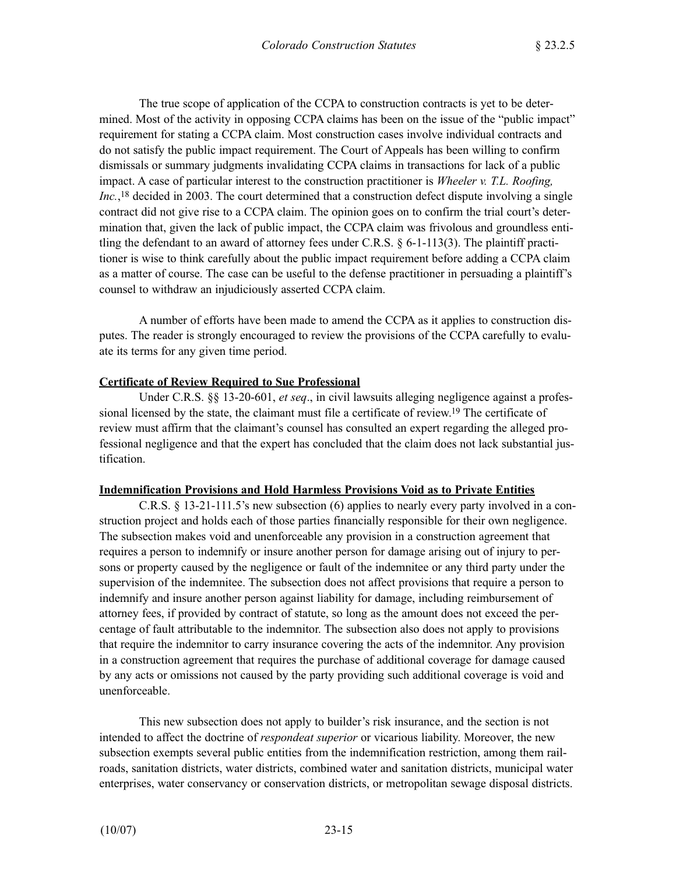The true scope of application of the CCPA to construction contracts is yet to be determined. Most of the activity in opposing CCPA claims has been on the issue of the "public impact" requirement for stating a CCPA claim. Most construction cases involve individual contracts and do not satisfy the public impact requirement. The Court of Appeals has been willing to confirm dismissals or summary judgments invalidating CCPA claims in transactions for lack of a public impact. A case of particular interest to the construction practitioner is *Wheeler v. T.L. Roofing, Inc.*,<sup>18</sup> decided in 2003. The court determined that a construction defect dispute involving a single contract did not give rise to a CCPA claim. The opinion goes on to confirm the trial court's determination that, given the lack of public impact, the CCPA claim was frivolous and groundless entitling the defendant to an award of attorney fees under C.R.S.  $\S$  6-1-113(3). The plaintiff practitioner is wise to think carefully about the public impact requirement before adding a CCPA claim as a matter of course. The case can be useful to the defense practitioner in persuading a plaintiff's counsel to withdraw an injudiciously asserted CCPA claim.

A number of efforts have been made to amend the CCPA as it applies to construction disputes. The reader is strongly encouraged to review the provisions of the CCPA carefully to evaluate its terms for any given time period.

#### **Certificate of Review Required to Sue Professional**

Under C.R.S. §§ 13-20-601, *et seq*., in civil lawsuits alleging negligence against a professional licensed by the state, the claimant must file a certificate of review.19 The certificate of review must affirm that the claimant's counsel has consulted an expert regarding the alleged professional negligence and that the expert has concluded that the claim does not lack substantial justification.

#### **Indemnification Provisions and Hold Harmless Provisions Void as to Private Entities**

C.R.S. § 13-21-111.5's new subsection (6) applies to nearly every party involved in a construction project and holds each of those parties financially responsible for their own negligence. The subsection makes void and unenforceable any provision in a construction agreement that requires a person to indemnify or insure another person for damage arising out of injury to persons or property caused by the negligence or fault of the indemnitee or any third party under the supervision of the indemnitee. The subsection does not affect provisions that require a person to indemnify and insure another person against liability for damage, including reimbursement of attorney fees, if provided by contract of statute, so long as the amount does not exceed the percentage of fault attributable to the indemnitor. The subsection also does not apply to provisions that require the indemnitor to carry insurance covering the acts of the indemnitor. Any provision in a construction agreement that requires the purchase of additional coverage for damage caused by any acts or omissions not caused by the party providing such additional coverage is void and unenforceable.

This new subsection does not apply to builder's risk insurance, and the section is not intended to affect the doctrine of *respondeat superior* or vicarious liability. Moreover, the new subsection exempts several public entities from the indemnification restriction, among them railroads, sanitation districts, water districts, combined water and sanitation districts, municipal water enterprises, water conservancy or conservation districts, or metropolitan sewage disposal districts.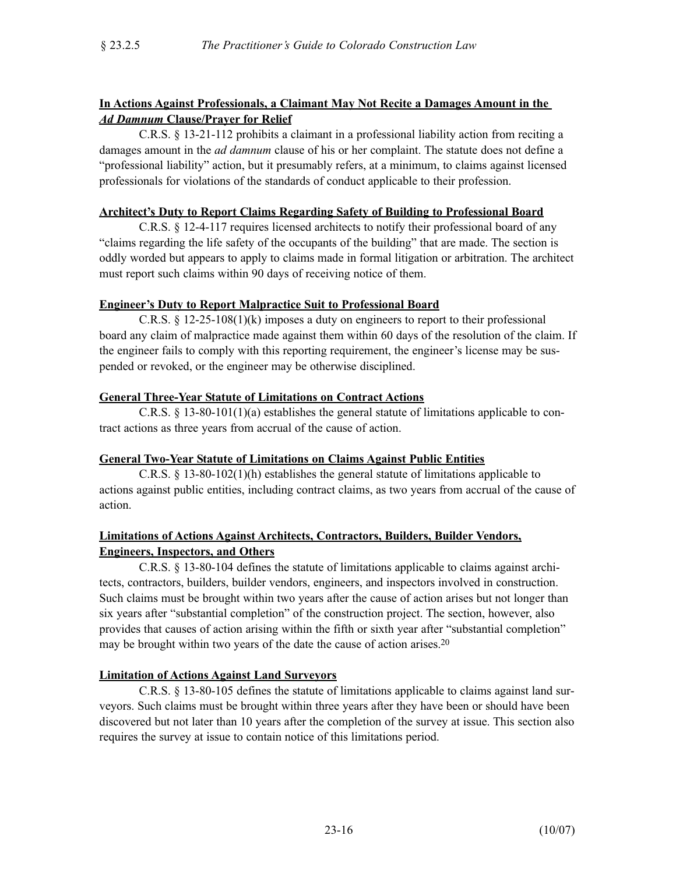## **In Actions Against Professionals, a Claimant May Not Recite a Damages Amount in the**  *Ad Damnum* **Clause/Prayer for Relief**

C.R.S. § 13-21-112 prohibits a claimant in a professional liability action from reciting a damages amount in the *ad damnum* clause of his or her complaint. The statute does not define a "professional liability" action, but it presumably refers, at a minimum, to claims against licensed professionals for violations of the standards of conduct applicable to their profession.

## **Architect's Duty to Report Claims Regarding Safety of Building to Professional Board**

C.R.S. § 12-4-117 requires licensed architects to notify their professional board of any "claims regarding the life safety of the occupants of the building" that are made. The section is oddly worded but appears to apply to claims made in formal litigation or arbitration. The architect must report such claims within 90 days of receiving notice of them.

### **Engineer's Duty to Report Malpractice Suit to Professional Board**

C.R.S. § 12-25-108(1)(k) imposes a duty on engineers to report to their professional board any claim of malpractice made against them within 60 days of the resolution of the claim. If the engineer fails to comply with this reporting requirement, the engineer's license may be suspended or revoked, or the engineer may be otherwise disciplined.

### **General Three-Year Statute of Limitations on Contract Actions**

C.R.S. § 13-80-101(1)(a) establishes the general statute of limitations applicable to contract actions as three years from accrual of the cause of action.

## **General Two-Year Statute of Limitations on Claims Against Public Entities**

C.R.S. § 13-80-102(1)(h) establishes the general statute of limitations applicable to actions against public entities, including contract claims, as two years from accrual of the cause of action.

### **Limitations of Actions Against Architects, Contractors, Builders, Builder Vendors, Engineers, Inspectors, and Others**

C.R.S. § 13-80-104 defines the statute of limitations applicable to claims against architects, contractors, builders, builder vendors, engineers, and inspectors involved in construction. Such claims must be brought within two years after the cause of action arises but not longer than six years after "substantial completion" of the construction project. The section, however, also provides that causes of action arising within the fifth or sixth year after "substantial completion" may be brought within two years of the date the cause of action arises.<sup>20</sup>

## **Limitation of Actions Against Land Surveyors**

C.R.S. § 13-80-105 defines the statute of limitations applicable to claims against land surveyors. Such claims must be brought within three years after they have been or should have been discovered but not later than 10 years after the completion of the survey at issue. This section also requires the survey at issue to contain notice of this limitations period.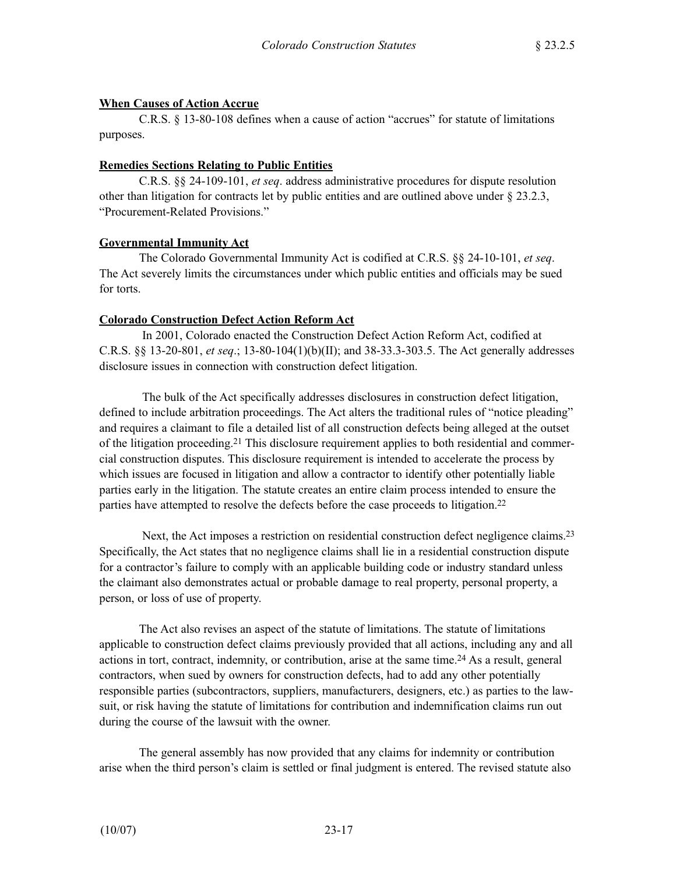## **When Causes of Action Accrue**

C.R.S. § 13-80-108 defines when a cause of action "accrues" for statute of limitations purposes.

## **Remedies Sections Relating to Public Entities**

C.R.S. §§ 24-109-101, *et seq*. address administrative procedures for dispute resolution other than litigation for contracts let by public entities and are outlined above under  $\S 23.2.3$ , "Procurement-Related Provisions."

## **Governmental Immunity Act**

The Colorado Governmental Immunity Act is codified at C.R.S. §§ 24-10-101, *et seq*. The Act severely limits the circumstances under which public entities and officials may be sued for torts.

### **Colorado Construction Defect Action Reform Act**

In 2001, Colorado enacted the Construction Defect Action Reform Act, codified at C.R.S. §§ 13-20-801, *et seq*.; 13-80-104(1)(b)(II); and 38-33.3-303.5. The Act generally addresses disclosure issues in connection with construction defect litigation.

The bulk of the Act specifically addresses disclosures in construction defect litigation, defined to include arbitration proceedings. The Act alters the traditional rules of "notice pleading" and requires a claimant to file a detailed list of all construction defects being alleged at the outset of the litigation proceeding.21 This disclosure requirement applies to both residential and commercial construction disputes. This disclosure requirement is intended to accelerate the process by which issues are focused in litigation and allow a contractor to identify other potentially liable parties early in the litigation. The statute creates an entire claim process intended to ensure the parties have attempted to resolve the defects before the case proceeds to litigation.<sup>22</sup>

Next, the Act imposes a restriction on residential construction defect negligence claims.<sup>23</sup> Specifically, the Act states that no negligence claims shall lie in a residential construction dispute for a contractor's failure to comply with an applicable building code or industry standard unless the claimant also demonstrates actual or probable damage to real property, personal property, a person, or loss of use of property.

The Act also revises an aspect of the statute of limitations. The statute of limitations applicable to construction defect claims previously provided that all actions, including any and all actions in tort, contract, indemnity, or contribution, arise at the same time.24 As a result, general contractors, when sued by owners for construction defects, had to add any other potentially responsible parties (subcontractors, suppliers, manufacturers, designers, etc.) as parties to the lawsuit, or risk having the statute of limitations for contribution and indemnification claims run out during the course of the lawsuit with the owner.

The general assembly has now provided that any claims for indemnity or contribution arise when the third person's claim is settled or final judgment is entered. The revised statute also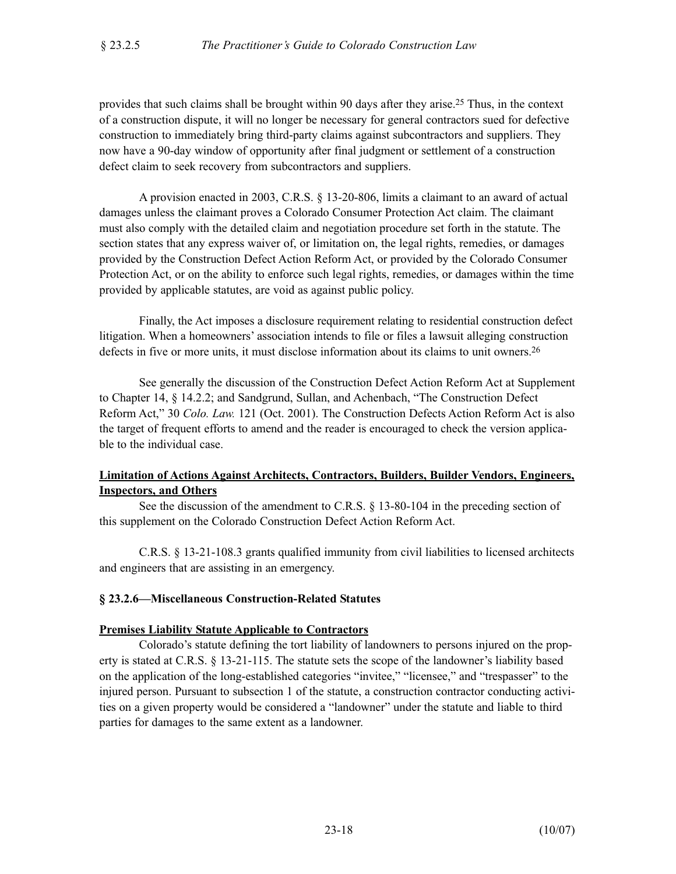provides that such claims shall be brought within 90 days after they arise.25 Thus, in the context of a construction dispute, it will no longer be necessary for general contractors sued for defective construction to immediately bring third-party claims against subcontractors and suppliers. They now have a 90-day window of opportunity after final judgment or settlement of a construction defect claim to seek recovery from subcontractors and suppliers.

A provision enacted in 2003, C.R.S. § 13-20-806, limits a claimant to an award of actual damages unless the claimant proves a Colorado Consumer Protection Act claim. The claimant must also comply with the detailed claim and negotiation procedure set forth in the statute. The section states that any express waiver of, or limitation on, the legal rights, remedies, or damages provided by the Construction Defect Action Reform Act, or provided by the Colorado Consumer Protection Act, or on the ability to enforce such legal rights, remedies, or damages within the time provided by applicable statutes, are void as against public policy.

Finally, the Act imposes a disclosure requirement relating to residential construction defect litigation. When a homeowners' association intends to file or files a lawsuit alleging construction defects in five or more units, it must disclose information about its claims to unit owners.<sup>26</sup>

See generally the discussion of the Construction Defect Action Reform Act at Supplement to Chapter 14, § 14.2.2; and Sandgrund, Sullan, and Achenbach, "The Construction Defect Reform Act," 30 *Colo. Law.* 121 (Oct. 2001). The Construction Defects Action Reform Act is also the target of frequent efforts to amend and the reader is encouraged to check the version applicable to the individual case.

## **Limitation of Actions Against Architects, Contractors, Builders, Builder Vendors, Engineers, Inspectors, and Others**

See the discussion of the amendment to C.R.S. § 13-80-104 in the preceding section of this supplement on the Colorado Construction Defect Action Reform Act.

C.R.S. § 13-21-108.3 grants qualified immunity from civil liabilities to licensed architects and engineers that are assisting in an emergency.

## **§ 23.2.6—Miscellaneous Construction-Related Statutes**

#### **Premises Liability Statute Applicable to Contractors**

Colorado's statute defining the tort liability of landowners to persons injured on the property is stated at C.R.S. § 13-21-115. The statute sets the scope of the landowner's liability based on the application of the long-established categories "invitee," "licensee," and "trespasser" to the injured person. Pursuant to subsection 1 of the statute, a construction contractor conducting activities on a given property would be considered a "landowner" under the statute and liable to third parties for damages to the same extent as a landowner.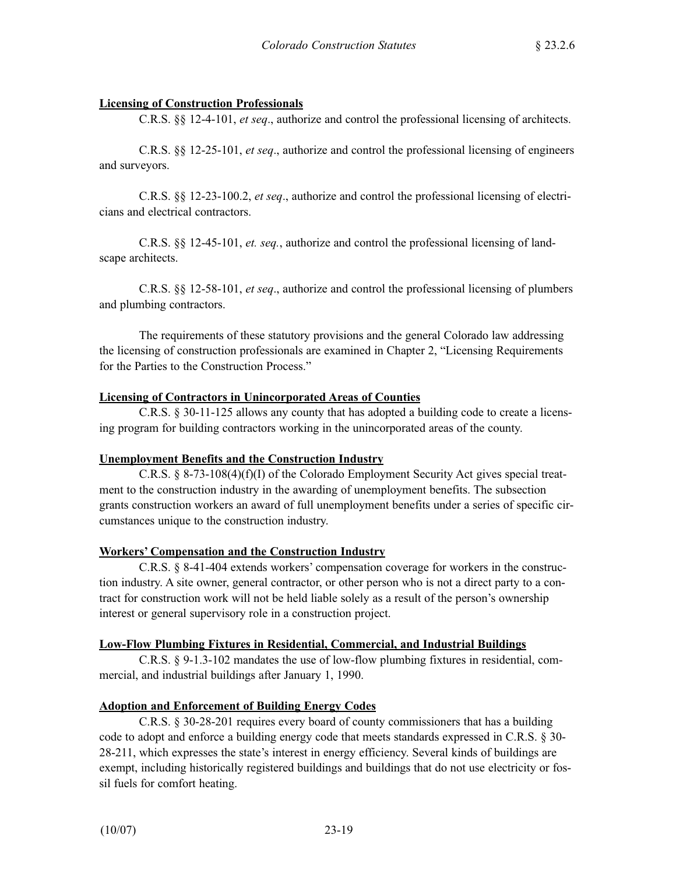## **Licensing of Construction Professionals**

C.R.S. §§ 12-4-101, *et seq*., authorize and control the professional licensing of architects.

C.R.S. §§ 12-25-101, *et seq*., authorize and control the professional licensing of engineers and surveyors.

C.R.S. §§ 12-23-100.2, *et seq*., authorize and control the professional licensing of electricians and electrical contractors.

C.R.S. §§ 12-45-101, *et. seq.*, authorize and control the professional licensing of landscape architects.

C.R.S. §§ 12-58-101, *et seq*., authorize and control the professional licensing of plumbers and plumbing contractors.

The requirements of these statutory provisions and the general Colorado law addressing the licensing of construction professionals are examined in Chapter 2, "Licensing Requirements for the Parties to the Construction Process."

### **Licensing of Contractors in Unincorporated Areas of Counties**

C.R.S. § 30-11-125 allows any county that has adopted a building code to create a licensing program for building contractors working in the unincorporated areas of the county.

## **Unemployment Benefits and the Construction Industry**

C.R.S. § 8-73-108(4)(f)(I) of the Colorado Employment Security Act gives special treatment to the construction industry in the awarding of unemployment benefits. The subsection grants construction workers an award of full unemployment benefits under a series of specific circumstances unique to the construction industry.

#### **Workers' Compensation and the Construction Industry**

C.R.S. § 8-41-404 extends workers' compensation coverage for workers in the construction industry. A site owner, general contractor, or other person who is not a direct party to a contract for construction work will not be held liable solely as a result of the person's ownership interest or general supervisory role in a construction project.

#### **Low-Flow Plumbing Fixtures in Residential, Commercial, and Industrial Buildings**

C.R.S. § 9-1.3-102 mandates the use of low-flow plumbing fixtures in residential, commercial, and industrial buildings after January 1, 1990.

## **Adoption and Enforcement of Building Energy Codes**

C.R.S. § 30-28-201 requires every board of county commissioners that has a building code to adopt and enforce a building energy code that meets standards expressed in C.R.S. § 30- 28-211, which expresses the state's interest in energy efficiency. Several kinds of buildings are exempt, including historically registered buildings and buildings that do not use electricity or fossil fuels for comfort heating.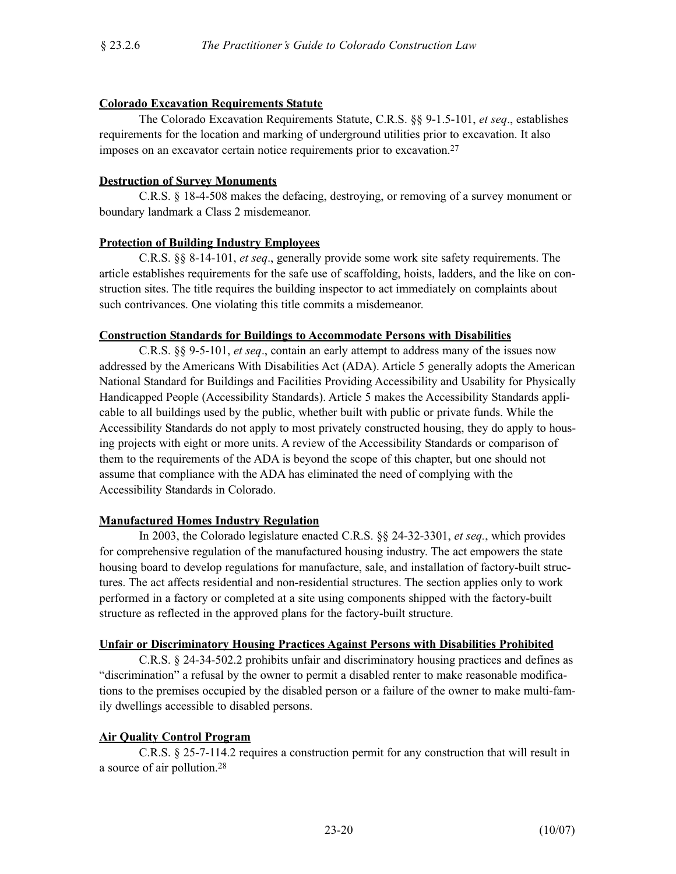### **Colorado Excavation Requirements Statute**

The Colorado Excavation Requirements Statute, C.R.S. §§ 9-1.5-101, *et seq*., establishes requirements for the location and marking of underground utilities prior to excavation. It also imposes on an excavator certain notice requirements prior to excavation.27

### **Destruction of Survey Monuments**

C.R.S. § 18-4-508 makes the defacing, destroying, or removing of a survey monument or boundary landmark a Class 2 misdemeanor.

## **Protection of Building Industry Employees**

C.R.S. §§ 8-14-101, *et seq*., generally provide some work site safety requirements. The article establishes requirements for the safe use of scaffolding, hoists, ladders, and the like on construction sites. The title requires the building inspector to act immediately on complaints about such contrivances. One violating this title commits a misdemeanor.

### **Construction Standards for Buildings to Accommodate Persons with Disabilities**

C.R.S. §§ 9-5-101, *et seq*., contain an early attempt to address many of the issues now addressed by the Americans With Disabilities Act (ADA). Article 5 generally adopts the American National Standard for Buildings and Facilities Providing Accessibility and Usability for Physically Handicapped People (Accessibility Standards). Article 5 makes the Accessibility Standards applicable to all buildings used by the public, whether built with public or private funds. While the Accessibility Standards do not apply to most privately constructed housing, they do apply to housing projects with eight or more units. A review of the Accessibility Standards or comparison of them to the requirements of the ADA is beyond the scope of this chapter, but one should not assume that compliance with the ADA has eliminated the need of complying with the Accessibility Standards in Colorado.

## **Manufactured Homes Industry Regulation**

In 2003, the Colorado legislature enacted C.R.S. §§ 24-32-3301, *et seq.*, which provides for comprehensive regulation of the manufactured housing industry. The act empowers the state housing board to develop regulations for manufacture, sale, and installation of factory-built structures. The act affects residential and non-residential structures. The section applies only to work performed in a factory or completed at a site using components shipped with the factory-built structure as reflected in the approved plans for the factory-built structure.

#### **Unfair or Discriminatory Housing Practices Against Persons with Disabilities Prohibited**

C.R.S. § 24-34-502.2 prohibits unfair and discriminatory housing practices and defines as "discrimination" a refusal by the owner to permit a disabled renter to make reasonable modifications to the premises occupied by the disabled person or a failure of the owner to make multi-family dwellings accessible to disabled persons.

## **Air Quality Control Program**

C.R.S. § 25-7-114.2 requires a construction permit for any construction that will result in a source of air pollution.28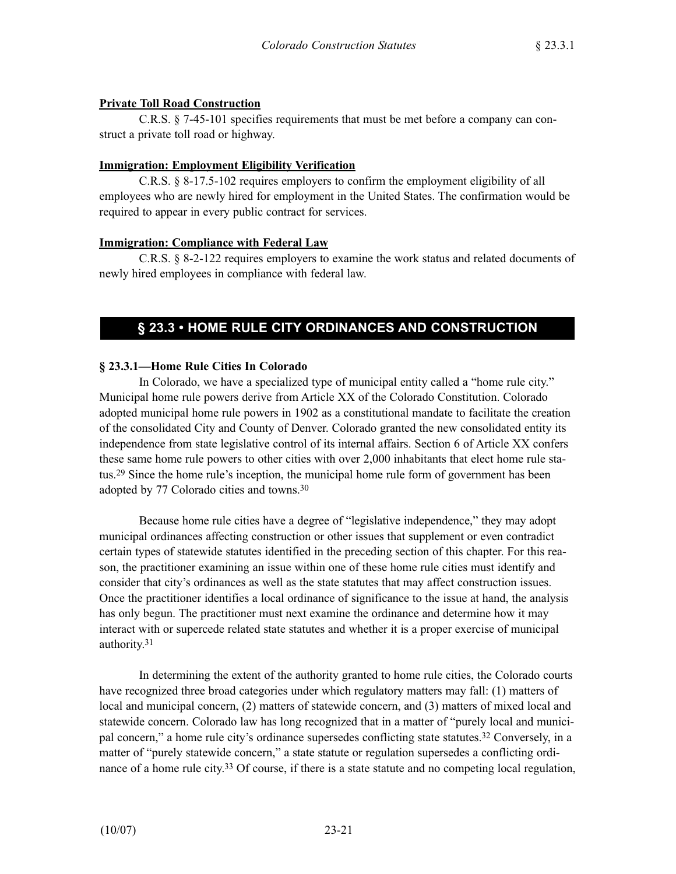## **Private Toll Road Construction**

C.R.S. § 7-45-101 specifies requirements that must be met before a company can construct a private toll road or highway.

### **Immigration: Employment Eligibility Verification**

C.R.S. § 8-17.5-102 requires employers to confirm the employment eligibility of all employees who are newly hired for employment in the United States. The confirmation would be required to appear in every public contract for services.

## **Immigration: Compliance with Federal Law**

C.R.S. § 8-2-122 requires employers to examine the work status and related documents of newly hired employees in compliance with federal law.

# **§ 23.3 • HOME RULE CITY ORDINANCES AND CONSTRUCTION**

## **§ 23.3.1—Home Rule Cities In Colorado**

In Colorado, we have a specialized type of municipal entity called a "home rule city." Municipal home rule powers derive from Article XX of the Colorado Constitution. Colorado adopted municipal home rule powers in 1902 as a constitutional mandate to facilitate the creation of the consolidated City and County of Denver. Colorado granted the new consolidated entity its independence from state legislative control of its internal affairs. Section 6 of Article XX confers these same home rule powers to other cities with over 2,000 inhabitants that elect home rule status.29 Since the home rule's inception, the municipal home rule form of government has been adopted by 77 Colorado cities and towns.30

Because home rule cities have a degree of "legislative independence," they may adopt municipal ordinances affecting construction or other issues that supplement or even contradict certain types of statewide statutes identified in the preceding section of this chapter. For this reason, the practitioner examining an issue within one of these home rule cities must identify and consider that city's ordinances as well as the state statutes that may affect construction issues. Once the practitioner identifies a local ordinance of significance to the issue at hand, the analysis has only begun. The practitioner must next examine the ordinance and determine how it may interact with or supercede related state statutes and whether it is a proper exercise of municipal authority.31

In determining the extent of the authority granted to home rule cities, the Colorado courts have recognized three broad categories under which regulatory matters may fall: (1) matters of local and municipal concern, (2) matters of statewide concern, and (3) matters of mixed local and statewide concern. Colorado law has long recognized that in a matter of "purely local and municipal concern," a home rule city's ordinance supersedes conflicting state statutes.32 Conversely, in a matter of "purely statewide concern," a state statute or regulation supersedes a conflicting ordinance of a home rule city.<sup>33</sup> Of course, if there is a state statute and no competing local regulation,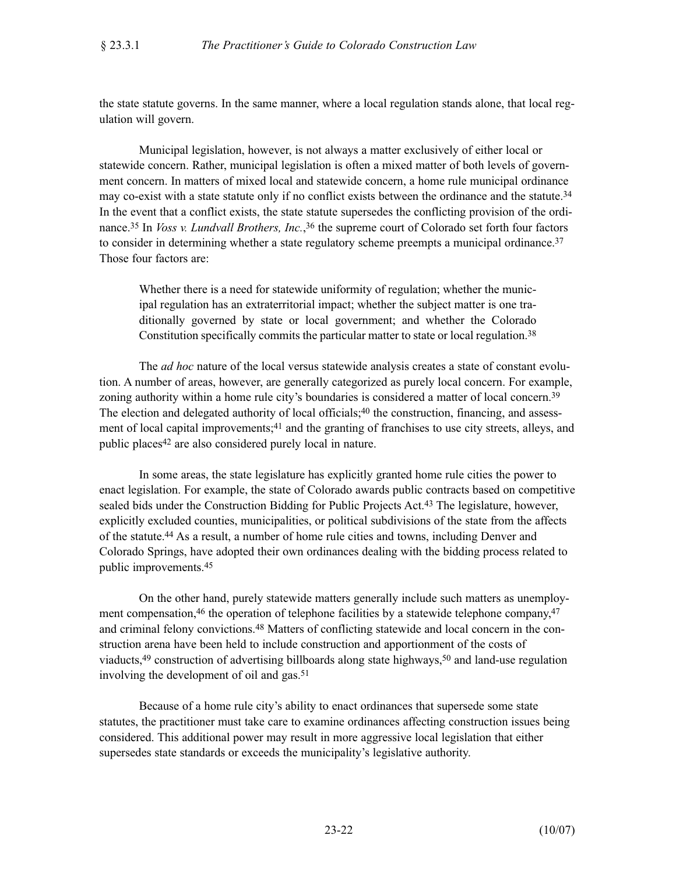the state statute governs. In the same manner, where a local regulation stands alone, that local regulation will govern.

Municipal legislation, however, is not always a matter exclusively of either local or statewide concern. Rather, municipal legislation is often a mixed matter of both levels of government concern. In matters of mixed local and statewide concern, a home rule municipal ordinance may co-exist with a state statute only if no conflict exists between the ordinance and the statute.<sup>34</sup> In the event that a conflict exists, the state statute supersedes the conflicting provision of the ordinance.35 In *Voss v. Lundvall Brothers, Inc.*,36 the supreme court of Colorado set forth four factors to consider in determining whether a state regulatory scheme preempts a municipal ordinance.<sup>37</sup> Those four factors are:

Whether there is a need for statewide uniformity of regulation; whether the municipal regulation has an extraterritorial impact; whether the subject matter is one traditionally governed by state or local government; and whether the Colorado Constitution specifically commits the particular matter to state or local regulation.38

The *ad hoc* nature of the local versus statewide analysis creates a state of constant evolution. A number of areas, however, are generally categorized as purely local concern. For example, zoning authority within a home rule city's boundaries is considered a matter of local concern.39 The election and delegated authority of local officials;<sup>40</sup> the construction, financing, and assessment of local capital improvements;41 and the granting of franchises to use city streets, alleys, and public places42 are also considered purely local in nature.

In some areas, the state legislature has explicitly granted home rule cities the power to enact legislation. For example, the state of Colorado awards public contracts based on competitive sealed bids under the Construction Bidding for Public Projects Act.43 The legislature, however, explicitly excluded counties, municipalities, or political subdivisions of the state from the affects of the statute.44 As a result, a number of home rule cities and towns, including Denver and Colorado Springs, have adopted their own ordinances dealing with the bidding process related to public improvements.45

On the other hand, purely statewide matters generally include such matters as unemployment compensation,<sup>46</sup> the operation of telephone facilities by a statewide telephone company,<sup>47</sup> and criminal felony convictions.48 Matters of conflicting statewide and local concern in the construction arena have been held to include construction and apportionment of the costs of viaducts, $49$  construction of advertising billboards along state highways, $50$  and land-use regulation involving the development of oil and gas.<sup>51</sup>

Because of a home rule city's ability to enact ordinances that supersede some state statutes, the practitioner must take care to examine ordinances affecting construction issues being considered. This additional power may result in more aggressive local legislation that either supersedes state standards or exceeds the municipality's legislative authority.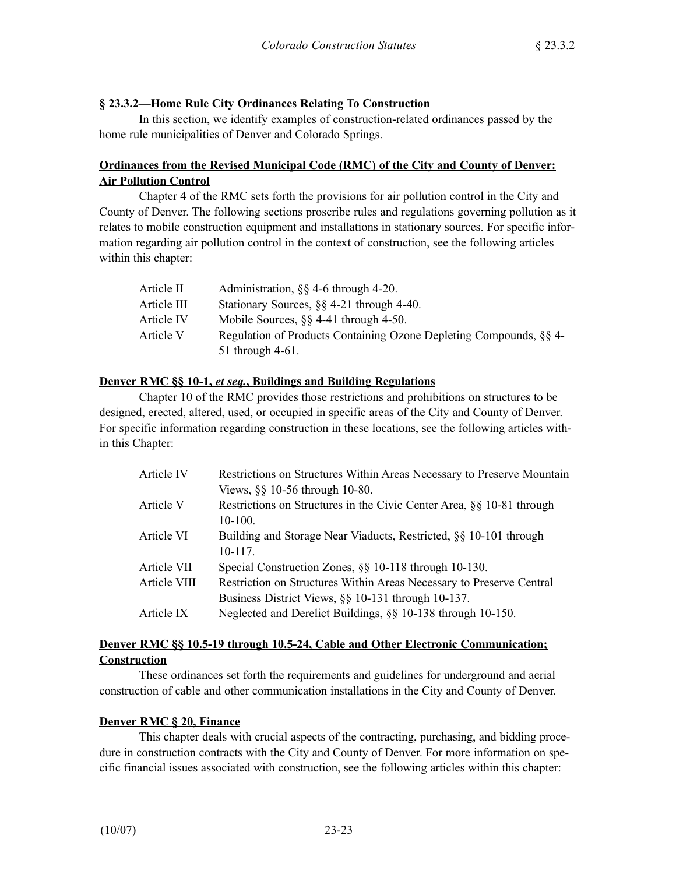## **§ 23.3.2—Home Rule City Ordinances Relating To Construction**

In this section, we identify examples of construction-related ordinances passed by the home rule municipalities of Denver and Colorado Springs.

## **Ordinances from the Revised Municipal Code (RMC) of the City and County of Denver: Air Pollution Control**

Chapter 4 of the RMC sets forth the provisions for air pollution control in the City and County of Denver. The following sections proscribe rules and regulations governing pollution as it relates to mobile construction equipment and installations in stationary sources. For specific information regarding air pollution control in the context of construction, see the following articles within this chapter:

| Article II  | Administration, $\S$ 4-6 through 4-20.                             |
|-------------|--------------------------------------------------------------------|
| Article III | Stationary Sources, §§ 4-21 through 4-40.                          |
| Article IV  | Mobile Sources, $\S$ 4-41 through 4-50.                            |
| Article V   | Regulation of Products Containing Ozone Depleting Compounds, §§ 4- |
|             | 51 through 4-61.                                                   |

#### **Denver RMC §§ 10-1,** *et seq.***, Buildings and Building Regulations**

Chapter 10 of the RMC provides those restrictions and prohibitions on structures to be designed, erected, altered, used, or occupied in specific areas of the City and County of Denver. For specific information regarding construction in these locations, see the following articles within this Chapter:

| Article IV   | Restrictions on Structures Within Areas Necessary to Preserve Mountain |
|--------------|------------------------------------------------------------------------|
|              | Views, §§ 10-56 through 10-80.                                         |
| Article V    | Restrictions on Structures in the Civic Center Area, §§ 10-81 through  |
|              | $10-100.$                                                              |
| Article VI   | Building and Storage Near Viaducts, Restricted, §§ 10-101 through      |
|              | $10-117.$                                                              |
| Article VII  | Special Construction Zones, §§ 10-118 through 10-130.                  |
| Article VIII | Restriction on Structures Within Areas Necessary to Preserve Central   |
|              | Business District Views, §§ 10-131 through 10-137.                     |
| Article IX   | Neglected and Derelict Buildings, §§ 10-138 through 10-150.            |
|              |                                                                        |

## **Denver RMC §§ 10.5-19 through 10.5-24, Cable and Other Electronic Communication; Construction**

These ordinances set forth the requirements and guidelines for underground and aerial construction of cable and other communication installations in the City and County of Denver.

#### **Denver RMC § 20, Finance**

This chapter deals with crucial aspects of the contracting, purchasing, and bidding procedure in construction contracts with the City and County of Denver. For more information on specific financial issues associated with construction, see the following articles within this chapter: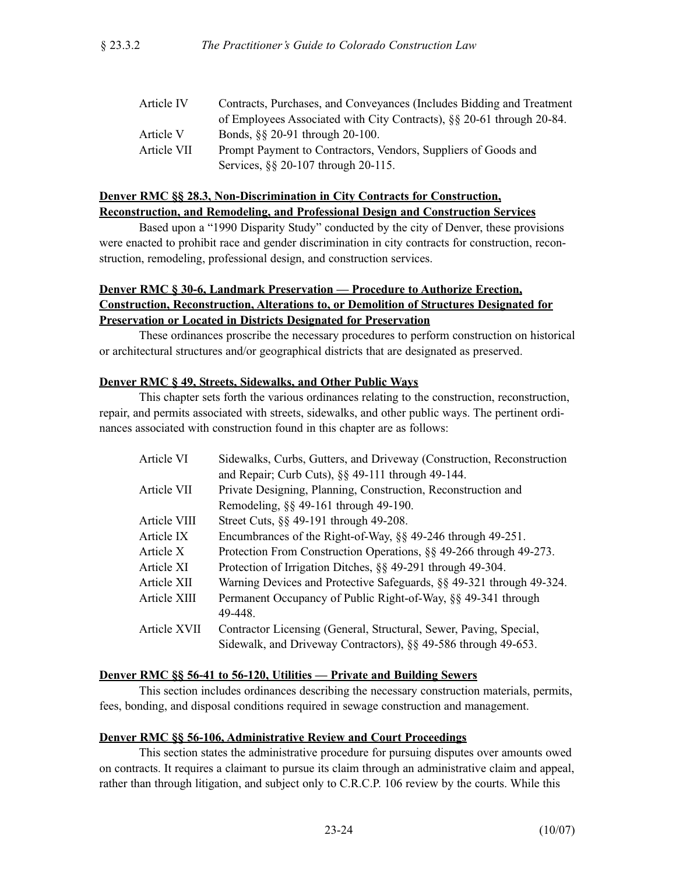| Article IV  | Contracts, Purchases, and Conveyances (Includes Bidding and Treatment |
|-------------|-----------------------------------------------------------------------|
|             | of Employees Associated with City Contracts), §§ 20-61 through 20-84. |
| Article V   | Bonds, §§ 20-91 through 20-100.                                       |
| Article VII | Prompt Payment to Contractors, Vendors, Suppliers of Goods and        |
|             | Services, §§ 20-107 through 20-115.                                   |

## **Denver RMC §§ 28.3, Non-Discrimination in City Contracts for Construction, Reconstruction, and Remodeling, and Professional Design and Construction Services**

Based upon a "1990 Disparity Study" conducted by the city of Denver, these provisions were enacted to prohibit race and gender discrimination in city contracts for construction, reconstruction, remodeling, professional design, and construction services.

## **Denver RMC § 30-6, Landmark Preservation — Procedure to Authorize Erection, Construction, Reconstruction, Alterations to, or Demolition of Structures Designated for Preservation or Located in Districts Designated for Preservation**

These ordinances proscribe the necessary procedures to perform construction on historical or architectural structures and/or geographical districts that are designated as preserved.

### **Denver RMC § 49, Streets, Sidewalks, and Other Public Ways**

This chapter sets forth the various ordinances relating to the construction, reconstruction, repair, and permits associated with streets, sidewalks, and other public ways. The pertinent ordinances associated with construction found in this chapter are as follows:

| Article VI   | Sidewalks, Curbs, Gutters, and Driveway (Construction, Reconstruction |
|--------------|-----------------------------------------------------------------------|
|              | and Repair; Curb Cuts), §§ 49-111 through 49-144.                     |
| Article VII  | Private Designing, Planning, Construction, Reconstruction and         |
|              | Remodeling, $\S$ 49-161 through 49-190.                               |
| Article VIII | Street Cuts, §§ 49-191 through 49-208.                                |
| Article IX   | Encumbrances of the Right-of-Way, §§ 49-246 through 49-251.           |
| Article X    | Protection From Construction Operations, §§ 49-266 through 49-273.    |
| Article XI   | Protection of Irrigation Ditches, §§ 49-291 through 49-304.           |
| Article XII  | Warning Devices and Protective Safeguards, §§ 49-321 through 49-324.  |
| Article XIII | Permanent Occupancy of Public Right-of-Way, §§ 49-341 through         |
|              | 49-448.                                                               |
| Article XVII | Contractor Licensing (General, Structural, Sewer, Paving, Special,    |
|              | Sidewalk, and Driveway Contractors), §§ 49-586 through 49-653.        |
|              |                                                                       |

#### **Denver RMC §§ 56-41 to 56-120, Utilities — Private and Building Sewers**

This section includes ordinances describing the necessary construction materials, permits, fees, bonding, and disposal conditions required in sewage construction and management.

## **Denver RMC §§ 56-106, Administrative Review and Court Proceedings**

This section states the administrative procedure for pursuing disputes over amounts owed on contracts. It requires a claimant to pursue its claim through an administrative claim and appeal, rather than through litigation, and subject only to C.R.C.P. 106 review by the courts. While this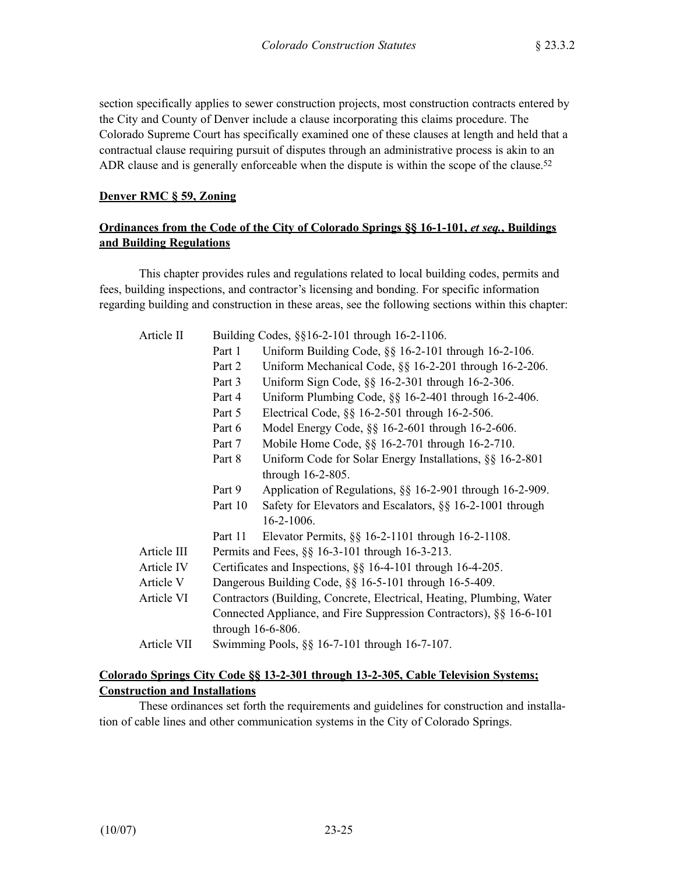section specifically applies to sewer construction projects, most construction contracts entered by the City and County of Denver include a clause incorporating this claims procedure. The Colorado Supreme Court has specifically examined one of these clauses at length and held that a contractual clause requiring pursuit of disputes through an administrative process is akin to an ADR clause and is generally enforceable when the dispute is within the scope of the clause.<sup>52</sup>

### **Denver RMC § 59, Zoning**

## **Ordinances from the Code of the City of Colorado Springs §§ 16-1-101,** *et seq.***, Buildings and Building Regulations**

This chapter provides rules and regulations related to local building codes, permits and fees, building inspections, and contractor's licensing and bonding. For specific information regarding building and construction in these areas, see the following sections within this chapter:

| Article II | Building Codes, §§16-2-101 through 16-2-1106. |  |  |  |
|------------|-----------------------------------------------|--|--|--|
|------------|-----------------------------------------------|--|--|--|

|             | Part 1                                                              | Uniform Building Code, §§ 16-2-101 through 16-2-106.                  |  |  |
|-------------|---------------------------------------------------------------------|-----------------------------------------------------------------------|--|--|
|             | Part 2                                                              | Uniform Mechanical Code, §§ 16-2-201 through 16-2-206.                |  |  |
|             | Part 3                                                              | Uniform Sign Code, §§ 16-2-301 through 16-2-306.                      |  |  |
|             | Part 4                                                              | Uniform Plumbing Code, $\S$ § 16-2-401 through 16-2-406.              |  |  |
|             | Part 5                                                              | Electrical Code, §§ 16-2-501 through 16-2-506.                        |  |  |
|             | Part 6                                                              | Model Energy Code, §§ 16-2-601 through 16-2-606.                      |  |  |
|             | Part 7                                                              | Mobile Home Code, §§ 16-2-701 through 16-2-710.                       |  |  |
|             | Part 8                                                              | Uniform Code for Solar Energy Installations, §§ 16-2-801              |  |  |
|             |                                                                     | through $16-2-805$ .                                                  |  |  |
|             | Part 9                                                              | Application of Regulations, §§ 16-2-901 through 16-2-909.             |  |  |
|             | Part 10                                                             | Safety for Elevators and Escalators, §§ 16-2-1001 through             |  |  |
|             |                                                                     | 16-2-1006.                                                            |  |  |
|             | Part 11                                                             | Elevator Permits, §§ 16-2-1101 through 16-2-1108.                     |  |  |
| Article III | Permits and Fees, §§ 16-3-101 through 16-3-213.                     |                                                                       |  |  |
| Article IV  | Certificates and Inspections, §§ 16-4-101 through 16-4-205.         |                                                                       |  |  |
| Article V   | Dangerous Building Code, §§ 16-5-101 through 16-5-409.              |                                                                       |  |  |
| Article VI  |                                                                     | Contractors (Building, Concrete, Electrical, Heating, Plumbing, Water |  |  |
|             | Connected Appliance, and Fire Suppression Contractors), §§ 16-6-101 |                                                                       |  |  |
|             |                                                                     | through 16-6-806.                                                     |  |  |
| Article VII |                                                                     | Swimming Pools, §§ 16-7-101 through 16-7-107.                         |  |  |

### **Colorado Springs City Code §§ 13-2-301 through 13-2-305, Cable Television Systems; Construction and Installations**

These ordinances set forth the requirements and guidelines for construction and installation of cable lines and other communication systems in the City of Colorado Springs.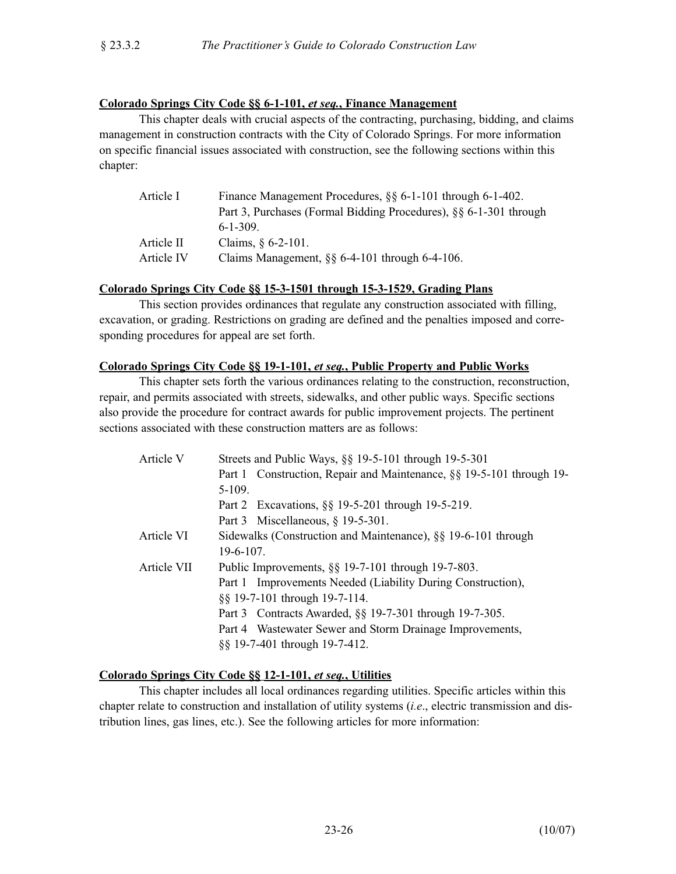## **Colorado Springs City Code §§ 6-1-101,** *et seq.***, Finance Management**

This chapter deals with crucial aspects of the contracting, purchasing, bidding, and claims management in construction contracts with the City of Colorado Springs. For more information on specific financial issues associated with construction, see the following sections within this chapter:

| Article I  | Finance Management Procedures, §§ 6-1-101 through 6-1-402.        |
|------------|-------------------------------------------------------------------|
|            | Part 3, Purchases (Formal Bidding Procedures), §§ 6-1-301 through |
|            | $6 - 1 - 309$ .                                                   |
| Article II | Claims, $§$ 6-2-101.                                              |
| Article IV | Claims Management, $\S$ § 6-4-101 through 6-4-106.                |

### **Colorado Springs City Code §§ 15-3-1501 through 15-3-1529, Grading Plans**

This section provides ordinances that regulate any construction associated with filling, excavation, or grading. Restrictions on grading are defined and the penalties imposed and corresponding procedures for appeal are set forth.

#### **Colorado Springs City Code §§ 19-1-101,** *et seq.***, Public Property and Public Works**

This chapter sets forth the various ordinances relating to the construction, reconstruction, repair, and permits associated with streets, sidewalks, and other public ways. Specific sections also provide the procedure for contract awards for public improvement projects. The pertinent sections associated with these construction matters are as follows:

| Article V   | Streets and Public Ways, §§ 19-5-101 through 19-5-301                |  |
|-------------|----------------------------------------------------------------------|--|
|             | Part 1 Construction, Repair and Maintenance, §§ 19-5-101 through 19- |  |
|             | $5-109.$                                                             |  |
|             | Part 2 Excavations, §§ 19-5-201 through 19-5-219.                    |  |
|             | Part 3 Miscellaneous, $§$ 19-5-301.                                  |  |
| Article VI  | Sidewalks (Construction and Maintenance), §§ 19-6-101 through        |  |
|             | $19-6-107$ .                                                         |  |
| Article VII | Public Improvements, $\S$ 19-7-101 through 19-7-803.                 |  |
|             | Part 1 Improvements Needed (Liability During Construction),          |  |
|             | §§ 19-7-101 through 19-7-114.                                        |  |
|             | Part 3 Contracts Awarded, §§ 19-7-301 through 19-7-305.              |  |
|             | Part 4 Wastewater Sewer and Storm Drainage Improvements,             |  |
|             | §§ 19-7-401 through 19-7-412.                                        |  |

## **Colorado Springs City Code §§ 12-1-101,** *et seq.***, Utilities**

This chapter includes all local ordinances regarding utilities. Specific articles within this chapter relate to construction and installation of utility systems (*i.e*., electric transmission and distribution lines, gas lines, etc.). See the following articles for more information: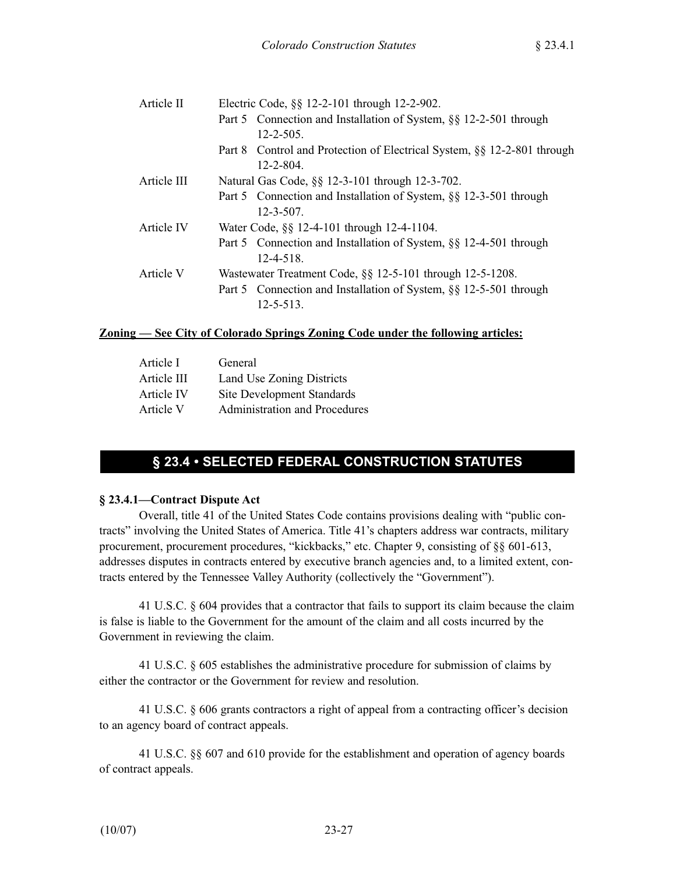| Article II  | Electric Code, §§ 12-2-101 through 12-2-902.                            |
|-------------|-------------------------------------------------------------------------|
|             | Part 5 Connection and Installation of System, §§ 12-2-501 through       |
|             | $12 - 2 - 505$ .                                                        |
|             | Part 8 Control and Protection of Electrical System, §§ 12-2-801 through |
|             | $12 - 2 - 804$ .                                                        |
| Article III | Natural Gas Code, §§ 12-3-101 through 12-3-702.                         |
|             | Part 5 Connection and Installation of System, §§ 12-3-501 through       |
|             | $12 - 3 - 507$ .                                                        |
| Article IV  | Water Code, §§ 12-4-101 through 12-4-1104.                              |
|             | Part 5 Connection and Installation of System, §§ 12-4-501 through       |
|             | $12 - 4 - 518$ .                                                        |
| Article V   | Wastewater Treatment Code, §§ 12-5-101 through 12-5-1208.               |
|             | Part 5 Connection and Installation of System, §§ 12-5-501 through       |
|             | $12 - 5 - 513$ .                                                        |

#### **Zoning — See City of Colorado Springs Zoning Code under the following articles:**

| Article I   | General                           |
|-------------|-----------------------------------|
| Article III | Land Use Zoning Districts         |
| Article IV  | <b>Site Development Standards</b> |
| Article V   | Administration and Procedures     |
|             |                                   |

## **§ 23.4 • SELECTED FEDERAL CONSTRUCTION STATUTES**

## **§ 23.4.1—Contract Dispute Act**

Overall, title 41 of the United States Code contains provisions dealing with "public contracts" involving the United States of America. Title 41's chapters address war contracts, military procurement, procurement procedures, "kickbacks," etc. Chapter 9, consisting of §§ 601-613, addresses disputes in contracts entered by executive branch agencies and, to a limited extent, contracts entered by the Tennessee Valley Authority (collectively the "Government").

41 U.S.C. § 604 provides that a contractor that fails to support its claim because the claim is false is liable to the Government for the amount of the claim and all costs incurred by the Government in reviewing the claim.

41 U.S.C. § 605 establishes the administrative procedure for submission of claims by either the contractor or the Government for review and resolution.

41 U.S.C. § 606 grants contractors a right of appeal from a contracting officer's decision to an agency board of contract appeals.

41 U.S.C. §§ 607 and 610 provide for the establishment and operation of agency boards of contract appeals.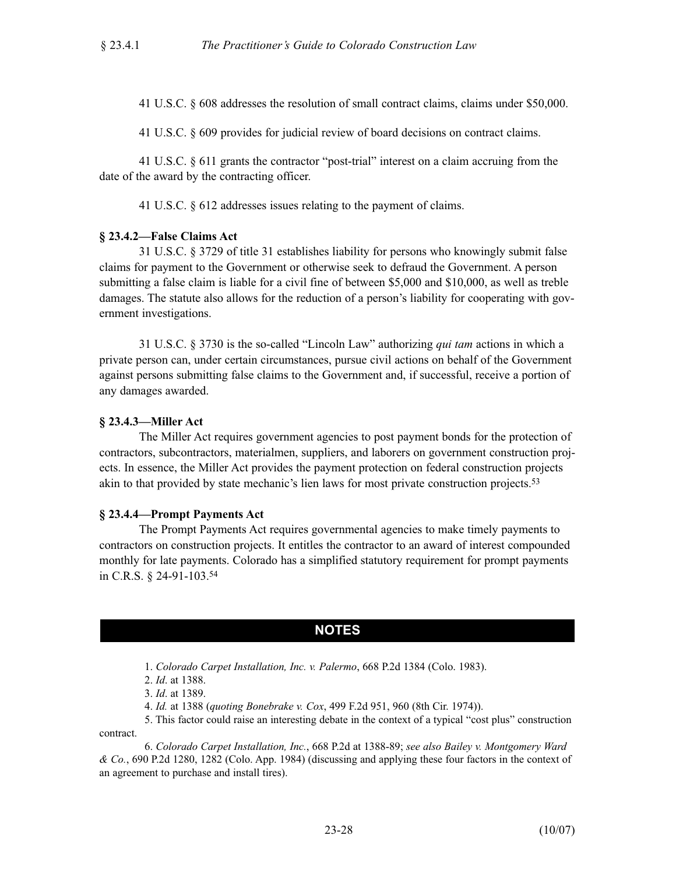41 U.S.C. § 608 addresses the resolution of small contract claims, claims under \$50,000.

41 U.S.C. § 609 provides for judicial review of board decisions on contract claims.

41 U.S.C. § 611 grants the contractor "post-trial" interest on a claim accruing from the date of the award by the contracting officer.

41 U.S.C. § 612 addresses issues relating to the payment of claims.

#### **§ 23.4.2—False Claims Act**

31 U.S.C. § 3729 of title 31 establishes liability for persons who knowingly submit false claims for payment to the Government or otherwise seek to defraud the Government. A person submitting a false claim is liable for a civil fine of between \$5,000 and \$10,000, as well as treble damages. The statute also allows for the reduction of a person's liability for cooperating with government investigations.

31 U.S.C. § 3730 is the so-called "Lincoln Law" authorizing *qui tam* actions in which a private person can, under certain circumstances, pursue civil actions on behalf of the Government against persons submitting false claims to the Government and, if successful, receive a portion of any damages awarded.

#### **§ 23.4.3—Miller Act**

The Miller Act requires government agencies to post payment bonds for the protection of contractors, subcontractors, materialmen, suppliers, and laborers on government construction projects. In essence, the Miller Act provides the payment protection on federal construction projects akin to that provided by state mechanic's lien laws for most private construction projects.53

#### **§ 23.4.4—Prompt Payments Act**

The Prompt Payments Act requires governmental agencies to make timely payments to contractors on construction projects. It entitles the contractor to an award of interest compounded monthly for late payments. Colorado has a simplified statutory requirement for prompt payments in C.R.S. § 24-91-103.54

## **NOTES**

1. *Colorado Carpet Installation, Inc. v. Palermo*, 668 P.2d 1384 (Colo. 1983).

2. *Id*. at 1388.

3. *Id*. at 1389.

4. *Id.* at 1388 (*quoting Bonebrake v. Cox*, 499 F.2d 951, 960 (8th Cir. 1974)).

5. This factor could raise an interesting debate in the context of a typical "cost plus" construction contract.

6. *Colorado Carpet Installation, Inc.*, 668 P.2d at 1388-89; *see also Bailey v. Montgomery Ward & Co.*, 690 P.2d 1280, 1282 (Colo. App. 1984) (discussing and applying these four factors in the context of an agreement to purchase and install tires).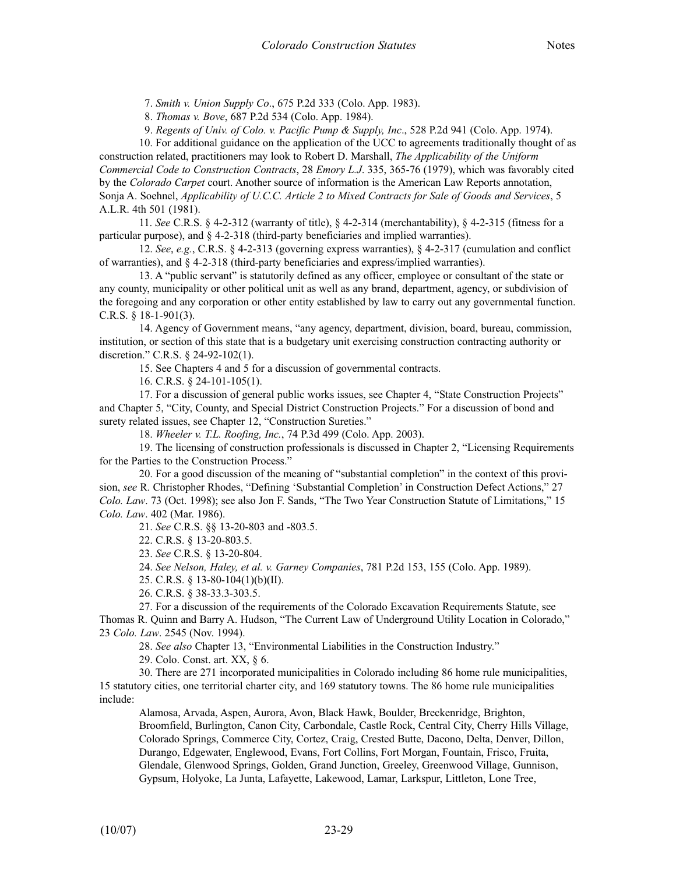7. *Smith v. Union Supply Co*., 675 P.2d 333 (Colo. App. 1983).

8. *Thomas v. Bove*, 687 P.2d 534 (Colo. App. 1984).

9. *Regents of Univ. of Colo. v. Pacific Pump & Supply, Inc*., 528 P.2d 941 (Colo. App. 1974).

10. For additional guidance on the application of the UCC to agreements traditionally thought of as construction related, practitioners may look to Robert D. Marshall, *The Applicability of the Uniform Commercial Code to Construction Contracts*, 28 *Emory L.J*. 335, 365-76 (1979), which was favorably cited by the *Colorado Carpet* court. Another source of information is the American Law Reports annotation, Sonja A. Soehnel, *Applicability of U.C.C. Article 2 to Mixed Contracts for Sale of Goods and Services*, 5 A.L.R. 4th 501 (1981).

11. *See* C.R.S. § 4-2-312 (warranty of title), § 4-2-314 (merchantability), § 4-2-315 (fitness for a particular purpose), and § 4-2-318 (third-party beneficiaries and implied warranties).

12. *See*, *e.g.*, C.R.S. § 4-2-313 (governing express warranties), § 4-2-317 (cumulation and conflict of warranties), and § 4-2-318 (third-party beneficiaries and express/implied warranties).

13. A "public servant" is statutorily defined as any officer, employee or consultant of the state or any county, municipality or other political unit as well as any brand, department, agency, or subdivision of the foregoing and any corporation or other entity established by law to carry out any governmental function. C.R.S. § 18-1-901(3).

14. Agency of Government means, "any agency, department, division, board, bureau, commission, institution, or section of this state that is a budgetary unit exercising construction contracting authority or discretion." C.R.S. § 24-92-102(1).

15. See Chapters 4 and 5 for a discussion of governmental contracts.

16. C.R.S. § 24-101-105(1).

17. For a discussion of general public works issues, see Chapter 4, "State Construction Projects" and Chapter 5, "City, County, and Special District Construction Projects." For a discussion of bond and surety related issues, see Chapter 12, "Construction Sureties."

18. *Wheeler v. T.L. Roofing, Inc.*, 74 P.3d 499 (Colo. App. 2003).

19. The licensing of construction professionals is discussed in Chapter 2, "Licensing Requirements for the Parties to the Construction Process."

20. For a good discussion of the meaning of "substantial completion" in the context of this provision, *see* R. Christopher Rhodes, "Defining 'Substantial Completion' in Construction Defect Actions," 27 *Colo. Law*. 73 (Oct. 1998); see also Jon F. Sands, "The Two Year Construction Statute of Limitations," 15 *Colo. Law*. 402 (Mar. 1986).

21. *See* C.R.S. §§ 13-20-803 and -803.5.

22. C.R.S. § 13-20-803.5.

23. *See* C.R.S. § 13-20-804.

24. *See Nelson, Haley, et al. v. Garney Companies*, 781 P.2d 153, 155 (Colo. App. 1989).

25. C.R.S. § 13-80-104(1)(b)(II).

26. C.R.S. § 38-33.3-303.5.

27. For a discussion of the requirements of the Colorado Excavation Requirements Statute, see Thomas R. Quinn and Barry A. Hudson, "The Current Law of Underground Utility Location in Colorado," 23 *Colo. Law*. 2545 (Nov. 1994).

28. *See also* Chapter 13, "Environmental Liabilities in the Construction Industry."

29. Colo. Const. art. XX, § 6.

30. There are 271 incorporated municipalities in Colorado including 86 home rule municipalities, 15 statutory cities, one territorial charter city, and 169 statutory towns. The 86 home rule municipalities include:

Alamosa, Arvada, Aspen, Aurora, Avon, Black Hawk, Boulder, Breckenridge, Brighton, Broomfield, Burlington, Canon City, Carbondale, Castle Rock, Central City, Cherry Hills Village, Colorado Springs, Commerce City, Cortez, Craig, Crested Butte, Dacono, Delta, Denver, Dillon, Durango, Edgewater, Englewood, Evans, Fort Collins, Fort Morgan, Fountain, Frisco, Fruita, Glendale, Glenwood Springs, Golden, Grand Junction, Greeley, Greenwood Village, Gunnison, Gypsum, Holyoke, La Junta, Lafayette, Lakewood, Lamar, Larkspur, Littleton, Lone Tree,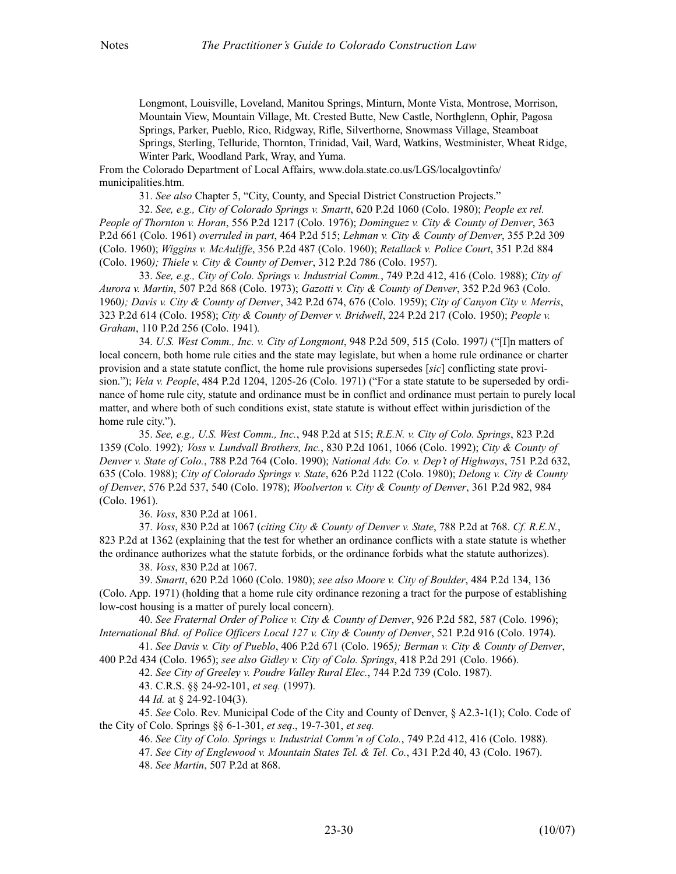Longmont, Louisville, Loveland, Manitou Springs, Minturn, Monte Vista, Montrose, Morrison, Mountain View, Mountain Village, Mt. Crested Butte, New Castle, Northglenn, Ophir, Pagosa Springs, Parker, Pueblo, Rico, Ridgway, Rifle, Silverthorne, Snowmass Village, Steamboat Springs, Sterling, Telluride, Thornton, Trinidad, Vail, Ward, Watkins, Westminister, Wheat Ridge, Winter Park, Woodland Park, Wray, and Yuma.

From the Colorado Department of Local Affairs, www.dola.state.co.us/LGS/localgovtinfo/ municipalities.htm.

31. *See also* Chapter 5, "City, County, and Special District Construction Projects."

32. *See, e.g., City of Colorado Springs v. Smartt*, 620 P.2d 1060 (Colo. 1980); *People ex rel. People of Thornton v. Horan*, 556 P.2d 1217 (Colo. 1976); *Dominguez v. City & County of Denver*, 363 P.2d 661 (Colo. 1961) *overruled in part*, 464 P.2d 515; *Lehman v. City & County of Denver*, 355 P.2d 309 (Colo. 1960); *Wiggins v. McAuliffe*, 356 P.2d 487 (Colo. 1960); *Retallack v. Police Court*, 351 P.2d 884 (Colo. 1960*); Thiele v. City & County of Denver*, 312 P.2d 786 (Colo. 1957).

33. *See, e.g., City of Colo. Springs v. Industrial Comm.*, 749 P.2d 412, 416 (Colo. 1988); *City of Aurora v. Martin*, 507 P.2d 868 (Colo. 1973); *Gazotti v. City & County of Denver*, 352 P.2d 963 (Colo. 1960*); Davis v. City & County of Denver*, 342 P.2d 674, 676 (Colo. 1959); *City of Canyon City v. Merris*, 323 P.2d 614 (Colo. 1958); *City & County of Denver v. Bridwell*, 224 P.2d 217 (Colo. 1950); *People v. Graham*, 110 P.2d 256 (Colo. 1941)*.*

34. *U.S. West Comm., Inc. v. City of Longmont*, 948 P.2d 509, 515 (Colo. 1997*)* ("[I]n matters of local concern, both home rule cities and the state may legislate, but when a home rule ordinance or charter provision and a state statute conflict, the home rule provisions supersedes [*sic*] conflicting state provision."); *Vela v. People*, 484 P.2d 1204, 1205-26 (Colo. 1971) ("For a state statute to be superseded by ordinance of home rule city, statute and ordinance must be in conflict and ordinance must pertain to purely local matter, and where both of such conditions exist, state statute is without effect within jurisdiction of the home rule city.").

35. *See, e.g., U.S. West Comm., Inc.*, 948 P.2d at 515; *R.E.N. v. City of Colo. Springs*, 823 P.2d 1359 (Colo. 1992)*; Voss v. Lundvall Brothers, Inc.*, 830 P.2d 1061, 1066 (Colo. 1992); *City & County of Denver v. State of Colo.*, 788 P.2d 764 (Colo. 1990); *National Adv. Co. v. Dep't of Highways*, 751 P.2d 632, 635 (Colo. 1988); *City of Colorado Springs v. State*, 626 P.2d 1122 (Colo. 1980); *Delong v. City & County of Denver*, 576 P.2d 537, 540 (Colo. 1978); *Woolverton v. City & County of Denver*, 361 P.2d 982, 984 (Colo. 1961).

36. *Voss*, 830 P.2d at 1061.

37. *Voss*, 830 P.2d at 1067 (*citing City & County of Denver v. State*, 788 P.2d at 768. *Cf. R.E.N.*, 823 P.2d at 1362 (explaining that the test for whether an ordinance conflicts with a state statute is whether the ordinance authorizes what the statute forbids, or the ordinance forbids what the statute authorizes).

38. *Voss*, 830 P.2d at 1067.

39. *Smartt*, 620 P.2d 1060 (Colo. 1980); *see also Moore v. City of Boulder*, 484 P.2d 134, 136 (Colo. App. 1971) (holding that a home rule city ordinance rezoning a tract for the purpose of establishing low-cost housing is a matter of purely local concern).

40. *See Fraternal Order of Police v. City & County of Denver*, 926 P.2d 582, 587 (Colo. 1996); *International Bhd. of Police Officers Local 127 v. City & County of Denver*, 521 P.2d 916 (Colo. 1974).

41. *See Davis v. City of Pueblo*, 406 P.2d 671 (Colo. 1965*); Berman v. City & County of Denver*, 400 P.2d 434 (Colo. 1965); *see also Gidley v. City of Colo. Springs*, 418 P.2d 291 (Colo. 1966).

42. *See City of Greeley v. Poudre Valley Rural Elec.*, 744 P.2d 739 (Colo. 1987).

43. C.R.S. §§ 24-92-101, *et seq.* (1997).

44 *Id.* at § 24-92-104(3).

45. *See* Colo. Rev. Municipal Code of the City and County of Denver, § A2.3-1(1); Colo. Code of the City of Colo. Springs §§ 6-1-301, *et seq*., 19-7-301, *et seq.*

46. *See City of Colo. Springs v. Industrial Comm'n of Colo.*, 749 P.2d 412, 416 (Colo. 1988).

47. *See City of Englewood v. Mountain States Tel. & Tel. Co.*, 431 P.2d 40, 43 (Colo. 1967).

48. *See Martin*, 507 P.2d at 868.